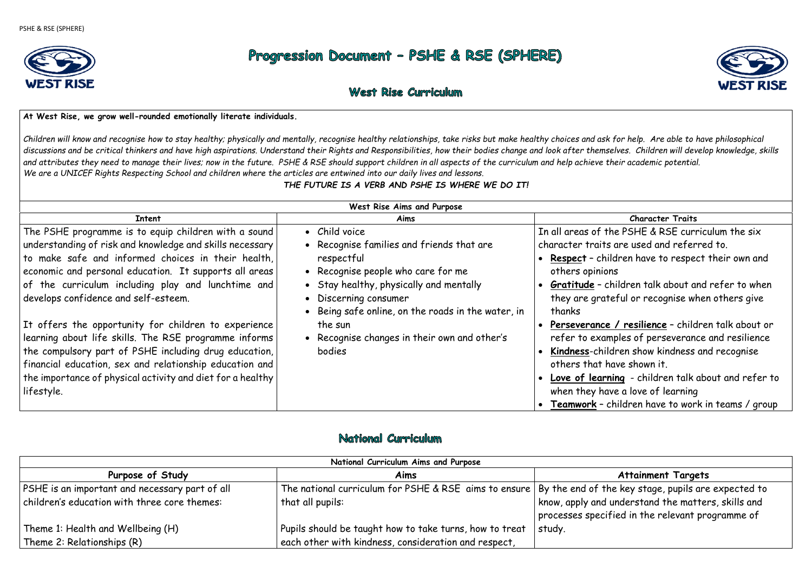

# Progression Document - PSHE & RSE (SPHERE)

# West Rise Curriculum

#### **At West Rise, we grow well-rounded emotionally literate individuals.**

*Children will know and recognise how to stay healthy; physically and mentally, recognise healthy relationships, take risks but make healthy choices and ask for help. Are able to have philosophical discussions and be critical thinkers and have high aspirations. Understand their Rights and Responsibilities, how their bodies change and look after themselves. Children will develop knowledge, skills and attributes they need to manage their lives; now in the future. PSHE & RSE should support children in all aspects of the curriculum and help achieve their academic potential. We are a UNICEF Rights Respecting School and children where the articles are entwined into our daily lives and lessons.* 

### *THE FUTURE IS A VERB AND PSHE IS WHERE WE DO IT!*

 **Gratitude** – children talk about and refer to when eful or recognise when others give

 **Perseverance / resilience** – children talk about or ples of perseverance and resilience **Kindness**-children show kindness and recognise ive shown it

 **Love of learning** - children talk about and refer to e a love of learning

| West Rise Aims and Purpose                                                                                                                                                                                                                                                                                                     |                                                                                                                                                                                                                                          |                                                                                                                                       |
|--------------------------------------------------------------------------------------------------------------------------------------------------------------------------------------------------------------------------------------------------------------------------------------------------------------------------------|------------------------------------------------------------------------------------------------------------------------------------------------------------------------------------------------------------------------------------------|---------------------------------------------------------------------------------------------------------------------------------------|
| <b>Intent</b>                                                                                                                                                                                                                                                                                                                  | Aims                                                                                                                                                                                                                                     |                                                                                                                                       |
| The PSHE programme is to equip children with a sound<br>understanding of risk and knowledge and skills necessary<br>to make safe and informed choices in their health,<br>economic and personal education. It supports all areas<br>of the curriculum including play and lunchtime and<br>develops confidence and self-esteem. | • Child voice<br>• Recognise families and friends that are<br>respectful<br>• Recognise people who care for me<br>• Stay healthy, physically and mentally<br>• Discerning consumer<br>• Being safe online, on the roads in the water, in | In all areas of the<br>character traits are<br>• Respect - childr<br>others opinions<br>Gratitude - chil<br>they are gratef<br>thanks |
| It offers the opportunity for children to experience<br>learning about life skills. The RSE programme informs<br>the compulsory part of PSHE including drug education,<br>financial education, sex and relationship education and<br>the importance of physical activity and diet for a healthy<br>lifestyle.                  | the sun<br>• Recognise changes in their own and other's<br>bodies                                                                                                                                                                        | Perseverance /<br>refer to exampl<br>Kindness-childro<br>others that hav<br>• Love of learning<br>when they have<br>Teamwork - chi    |

## National Curriculum

**Teamwork** – children have to work in teams / group

## **Attainment Targets**

e key stage, pupils are expected to inderstand the matters, skills and ied in the relevant programme of

|                                                | National Curriculum Aims and Purpose                                      |                                        |
|------------------------------------------------|---------------------------------------------------------------------------|----------------------------------------|
| Purpose of Study                               | Aims                                                                      |                                        |
| PSHE is an important and necessary part of all | The national curriculum for PSHE & RSE aims to ensure   By the end of the |                                        |
| children's education with three core themes:   | that all pupils:                                                          | know, apply and u<br>processes specifi |
| Theme 1: Health and Wellbeing (H)              | Pupils should be taught how to take turns, how to treat                   | study.                                 |
| Theme 2: Relationships (R)                     | each other with kindness, consideration and respect,                      |                                        |



**Character Traits** 

e PSHE & RSE curriculum the six are used and referred to.

dren have to respect their own and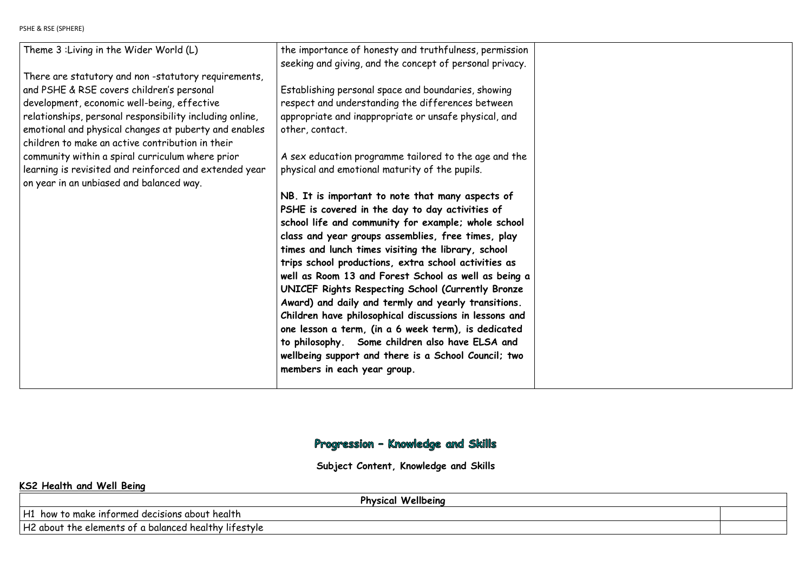PSHE & RSE (SPHERE)

| Theme 3: Living in the Wider World (L)                   | the importance of honesty and truthfulness, permission<br>seeking and giving, and the concept of personal privacy. |  |
|----------------------------------------------------------|--------------------------------------------------------------------------------------------------------------------|--|
| There are statutory and non-statutory requirements,      |                                                                                                                    |  |
| and PSHE & RSE covers children's personal                | Establishing personal space and boundaries, showing                                                                |  |
| development, economic well-being, effective              | respect and understanding the differences between                                                                  |  |
| relationships, personal responsibility including online, | appropriate and inappropriate or unsafe physical, and                                                              |  |
| emotional and physical changes at puberty and enables    | other, contact.                                                                                                    |  |
| children to make an active contribution in their         |                                                                                                                    |  |
| community within a spiral curriculum where prior         | A sex education programme tailored to the age and the                                                              |  |
| learning is revisited and reinforced and extended year   | physical and emotional maturity of the pupils.                                                                     |  |
| on year in an unbiased and balanced way.                 |                                                                                                                    |  |
|                                                          | NB. It is important to note that many aspects of                                                                   |  |
|                                                          | PSHE is covered in the day to day activities of                                                                    |  |
|                                                          | school life and community for example; whole school                                                                |  |
|                                                          | class and year groups assemblies, free times, play                                                                 |  |
|                                                          | times and lunch times visiting the library, school                                                                 |  |
|                                                          | trips school productions, extra school activities as                                                               |  |
|                                                          | well as Room 13 and Forest School as well as being a                                                               |  |
|                                                          | UNICEF Rights Respecting School (Currently Bronze                                                                  |  |
|                                                          | Award) and daily and termly and yearly transitions.                                                                |  |
|                                                          | Children have philosophical discussions in lessons and                                                             |  |
|                                                          | one lesson a term, (in a 6 week term), is dedicated                                                                |  |
|                                                          | to philosophy. Some children also have ELSA and                                                                    |  |
|                                                          | wellbeing support and there is a School Council; two<br>members in each year group.                                |  |
|                                                          |                                                                                                                    |  |
|                                                          |                                                                                                                    |  |

# Progression - Knowledge and Skills

**Subject Content, Knowledge and Skills** 

# **KS2 Health and Well Being**

**Physical Wellbeing** 

H1 how to make informed decisions about health

H2 about the elements of a balanced healthy lifestyle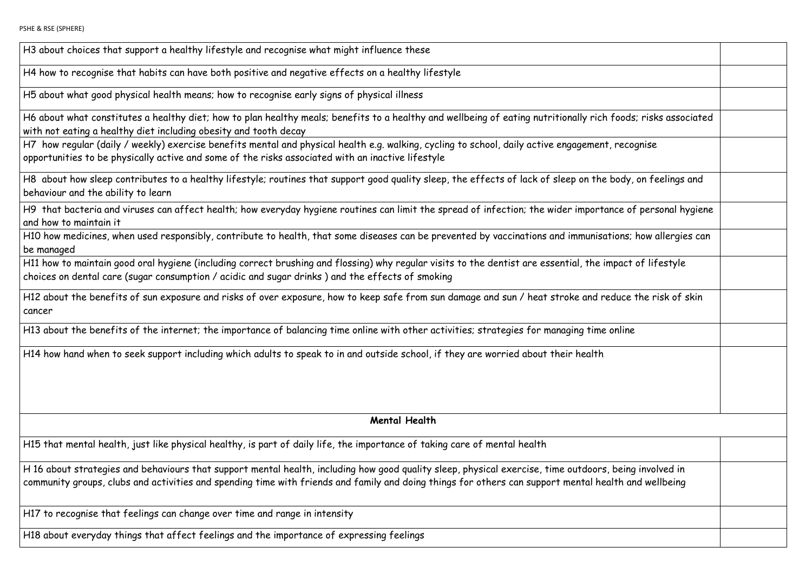H3 about choices that support a healthy lifestyle and recognise what might influence these

H4 how to recognise that habits can have both positive and negative effects on a healthy lifestyle

H5 about what good physical health means; how to recognise early signs of physical illness

H6 about what constitutes a healthy diet; how to plan healthy meals; benefits to a healthy and wellbeing of eating nutritionally rich f with not eating a healthy diet including obesity and tooth decay

H7 how regular (daily / weekly) exercise benefits mental and physical health e.g. walking, cycling to school, daily active engagement, opportunities to be physically active and some of the risks associated with an inactive lifestyle

H8 about how sleep contributes to a healthy lifestyle; routines that support good quality sleep, the effects of lack of sleep on the b behaviour and the ability to learn

H9 that bacteria and viruses can affect health; how everyday hygiene routines can limit the spread of infection; the wider importan and how to maintain it

H10 how medicines, when used responsibly, contribute to health, that some diseases can be prevented by vaccinations and immunisati be managed

H11 how to maintain good oral hygiene (including correct brushing and flossing) why regular visits to the dentist are essential, the impact of lifestyle intertylety choices on dental care (sugar consumption / acidic and sugar drinks ) and the effects of smoking

H12 about the benefits of sun exposure and risks of over exposure, how to keep safe from sun damage and sun / heat stroke and red cancer

H13 about the benefits of the internet; the importance of balancing time online with other activities; strategies for managing time o

H14 how hand when to seek support including which adults to speak to in and outside school, if they are worried about their health

**Mental Health**

H15 that mental health, just like physical healthy, is part of daily life, the importance of taking care of mental health

H 16 about strategies and behaviours that support mental health, including how good quality sleep, physical exercise, time outdoors, l community groups, clubs and activities and spending time with friends and family and doing things for others can support mental health

H17 to recognise that feelings can change over time and range in intensity

H18 about everyday things that affect feelings and the importance of expressing feelings

| foods; risks associated               |  |
|---------------------------------------|--|
| recognise                             |  |
| ody, on feelings and                  |  |
| ce of personal hygiene                |  |
| ions; how allergies can               |  |
| pact of lifestyle                     |  |
| duce the risk of skin                 |  |
| nline                                 |  |
|                                       |  |
|                                       |  |
|                                       |  |
|                                       |  |
| being involved in<br>th and wellbeing |  |
|                                       |  |
|                                       |  |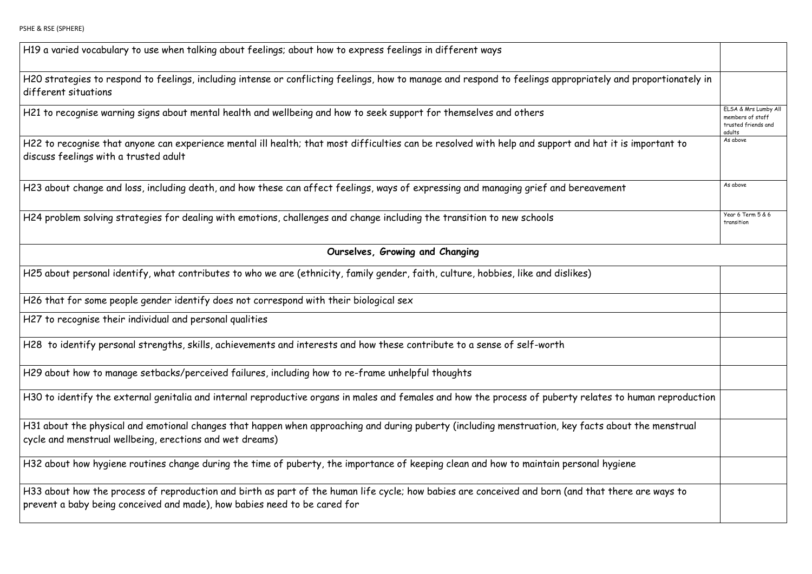H19 a varied vocabulary to use when talking about feelings; about how to express feelings in different ways

H20 strategies to respond to feelings, including intense or conflicting feelings, how to manage and respond to feelings appropriately different situations

H22 to recognise that anyone can experience mental ill health; that most difficulties can be resolved with help and support and hat it discuss feelings with a trusted adult

H23 about change and loss, including death, and how these can affect feelings, ways of expressing and managing grief and bereaveme

H21 to recognise warning signs about mental health and wellbeing and how to seek support for themselves and others

| and proportionately in |                                                                           |
|------------------------|---------------------------------------------------------------------------|
|                        | ELSA & Mrs Lumby All<br>members of staff<br>trusted friends and<br>adults |
| t is important to      | As above                                                                  |
| znt                    | As above                                                                  |
|                        | Year 6 Term 5 & 6<br>transition                                           |
|                        |                                                                           |
|                        |                                                                           |
|                        |                                                                           |
|                        |                                                                           |
|                        |                                                                           |
|                        |                                                                           |
| to human reproduction  |                                                                           |
| bout the menstrual     |                                                                           |
| giene                  |                                                                           |
| here are ways to       |                                                                           |
|                        |                                                                           |

H24 problem solving strategies for dealing with emotions, challenges and change including the transition to new schools

H31 about the physical and emotional changes that happen when approaching and during puberty (including menstruation, key facts ab cycle and menstrual wellbeing, erections and wet dreams)

H32 about how hygiene routines change during the time of puberty, the importance of keeping clean and how to maintain personal hyg

## **Ourselves, Growing and Changing**

H25 about personal identify, what contributes to who we are (ethnicity, family gender, faith, culture, hobbies, like and dislikes)

H33 about how the process of reproduction and birth as part of the human life cycle; how babies are conceived and born (and that the prevent a baby being conceived and made), how babies need to be cared for

H26 that for some people gender identify does not correspond with their biological sex

H27 to recognise their individual and personal qualities

H28 to identify personal strengths, skills, achievements and interests and how these contribute to a sense of self-worth

H29 about how to manage setbacks/perceived failures, including how to re-frame unhelpful thoughts

H30 to identify the external genitalia and internal reproductive organs in males and females and how the process of puberty relates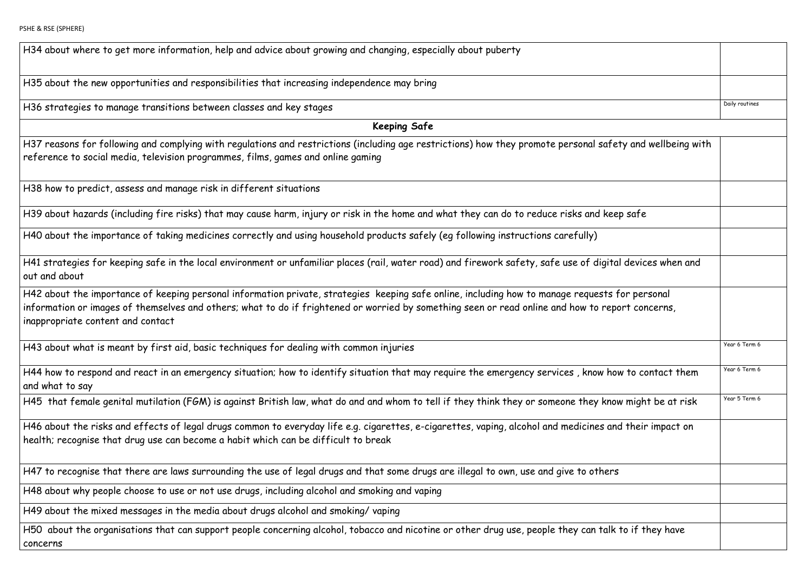H34 about where to get more information, help and advice about growing and changing, especially about puberty

H35 about the new opportunities and responsibilities that increasing independence may bring

H36 strategies to manage transitions between classes and key stages

H37 reasons for following and complying with regulations and restrictions (including age restrictions) how they promote personal safety reference to social media, television programmes, films, games and online gaming

**Keeping Safe** 

H41 strategies for keeping safe in the local environment or unfamiliar places (rail, water road) and firework safety, safe use of digit out and about

H38 how to predict, assess and manage risk in different situations

H39 about hazards (including fire risks) that may cause harm, injury or risk in the home and what they can do to reduce risks and kee

H42 about the importance of keeping personal information private, strategies keeping safe online, including how to manage requests information or images of themselves and others; what to do if frightened or worried by something seen or read online and how to rep inappropriate content and contact

H44 how to respond and react in an emergency situation; how to identify situation that may require the emergency services, know ho and what to say

H40 about the importance of taking medicines correctly and using household products safely (eg following instructions carefully)

H45 that female genital mutilation (FGM) is against British law, what do and and whom to tell if they think they or someone they know

H46 about the risks and effects of legal drugs common to everyday life e.g. cigarettes, e-cigarettes, vaping, alcohol and medicines ar health; recognise that drug use can become a habit which can be difficult to break

H47 to recognise that there are laws surrounding the use of legal drugs and that some drugs are illegal to own, use and give to other

|                        | Daily routines |
|------------------------|----------------|
|                        |                |
| ety and wellbeing with |                |
|                        |                |
|                        |                |
| ep safe                |                |
|                        |                |
| al devices when and    |                |
| for personal           |                |
| port concerns,         |                |
|                        |                |
|                        | Year 6 Term 6  |
| ow to contact them     | Year 6 Term 6  |
| ow might be at risk    | Year 5 Term 6  |
| nd their impact on     |                |
|                        |                |
| 'S                     |                |
|                        |                |
|                        |                |
| <b>to if they have</b> |                |
|                        |                |

H50 about the organisations that can support people concerning alcohol, tobacco and nicotine or other drug use, people they can talk concerns

H43 about what is meant by first aid, basic techniques for dealing with common injuries

H48 about why people choose to use or not use drugs, including alcohol and smoking and vaping

H49 about the mixed messages in the media about drugs alcohol and smoking/ vaping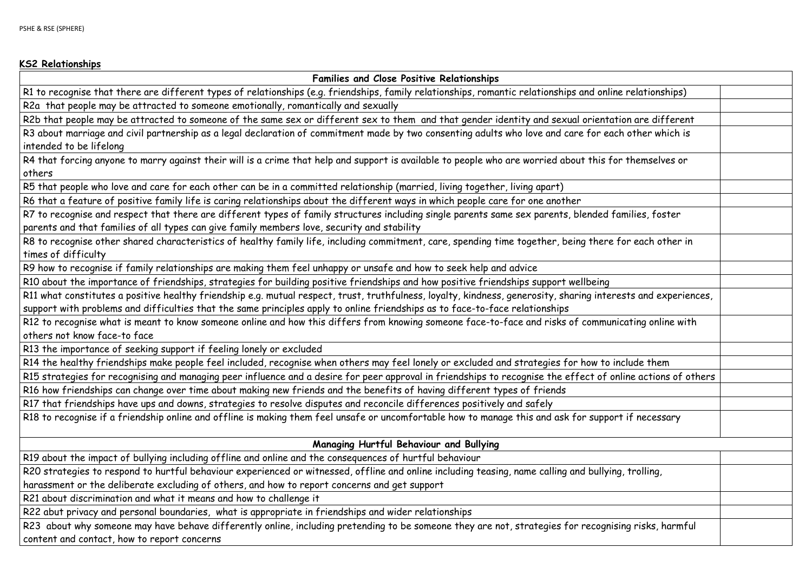#### **KS2 Relationships**

**Families and Close Positive Relationships** R1 to recognise that there are different types of relationships (e.g. friendships, family relationships, romantic relationships and online R2a that people may be attracted to someone emotionally, romantically and sexually

R2b that people may be attracted to someone of the same sex or different sex to them and that gender identity and sexual orienta R3 about marriage and civil partnership as a legal declaration of commitment made by two consenting adults who love and care for ea

R4 that forcing anyone to marry against their will is a crime that help and support is available to people who are worried about this for others

intended to be lifelong

R7 to recognise and respect that there are different types of family structures including single parents same sex parents, blended f parents and that families of all types can give family members love, security and stability

R8 to recognise other shared characteristics of healthy family life, including commitment, care, spending time together, being there times of difficulty

R5 that people who love and care for each other can be in a committed relationship (married, living together, living apart)

R6 that a feature of positive family life is caring relationships about the different ways in which people care for one another

R12 to recognise what is meant to know someone online and how this differs from knowing someone face-to-face and risks of commur others not know face-to face

R9 how to recognise if family relationships are making them feel unhappy or unsafe and how to seek help and advice

R20 strategies to respond to hurtful behaviour experienced or witnessed, offline and online including teasing, name calling and bullyir harassment or the deliberate excluding of others, and how to report concerns and get support

R10 about the importance of friendships, strategies for building positive friendships and how positive friendships support wellbeing R11 what constitutes a positive healthy friendship e.g. mutual respect, trust, truthfulness, loyalty, kindness, generosity, sharing inter support with problems and difficulties that the same principles apply to online friendships as to face-to-face relationships

R23 about why someone may have behave differently online, including pretending to be someone they are not, strategies for recognistion content and contact, how to report concerns

| ne relationships)       |  |
|-------------------------|--|
|                         |  |
| tion are different      |  |
| ch other which is       |  |
|                         |  |
| or themselves or        |  |
|                         |  |
|                         |  |
|                         |  |
| families, foster        |  |
|                         |  |
| for each other in       |  |
|                         |  |
|                         |  |
|                         |  |
| rests and experiences,  |  |
| nicating online with    |  |
|                         |  |
|                         |  |
| include them            |  |
| nline actions of others |  |
|                         |  |
|                         |  |
| rt if necessary         |  |
|                         |  |
|                         |  |
|                         |  |
| ng, trolling,           |  |
|                         |  |
|                         |  |
|                         |  |
| sing risks, harmful     |  |
|                         |  |

R13 the importance of seeking support if feeling lonely or excluded

R14 the healthy friendships make people feel included, recognise when others may feel lonely or excluded and strategies for how to

R15 strategies for recognising and managing peer influence and a desire for peer approval in friendships to recognise the effect of o

R16 how friendships can change over time about making new friends and the benefits of having different types of friends

R17 that friendships have ups and downs, strategies to resolve disputes and reconcile differences positively and safely

R18 to recognise if a friendship online and offline is making them feel unsafe or uncomfortable how to manage this and ask for suppo

**Managing Hurtful Behaviour and Bullying**

R19 about the impact of bullying including offline and online and the consequences of hurtful behaviour

R21 about discrimination and what it means and how to challenge it

R22 abut privacy and personal boundaries, what is appropriate in friendships and wider relationships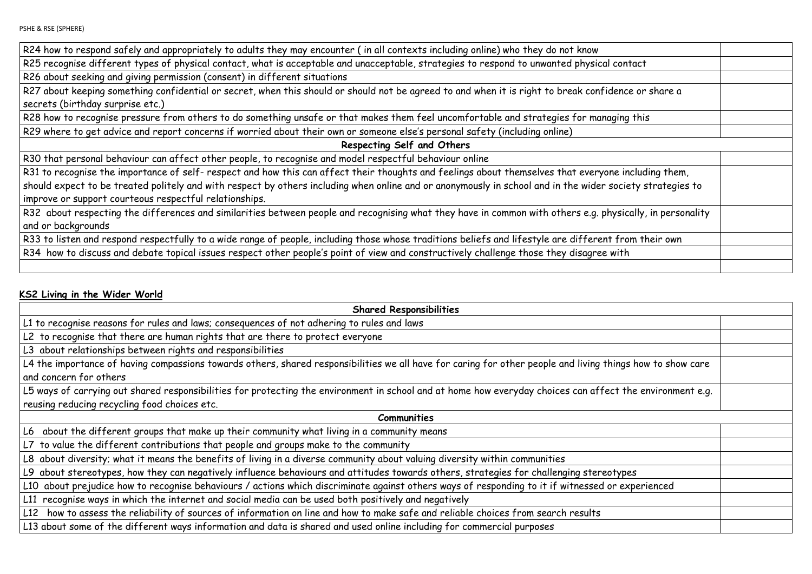PSHE & RSE (SPHERE)

R24 how to respond safely and appropriately to adults they may encounter ( in all contexts including online) who they do not know

R25 recognise different types of physical contact, what is acceptable and unacceptable, strategies to respond to unwanted physical

R27 about keeping something confidential or secret, when this should or should not be agreed to and when it is right to break confidence or share and a lot of the share and when it is right to break confidence and when it secrets (birthday surprise etc.)

R28 how to recognise pressure from others to do something unsafe or that makes them feel uncomfortable and strategies for manag

R26 about seeking and giving permission (consent) in different situations

R31 to recognise the importance of self- respect and how this can affect their thoughts and feelings about themselves that everyon should expect to be treated politely and with respect by others including when online and or anonymously in school and in the wider so improve or support courteous respectful relationships.

R32 about respecting the differences and similarities between people and recognising what they have in common with others e.g. phy and or backgrounds

R33 to listen and respond respectfully to a wide range of people, including those whose traditions beliefs and lifestyle are different R34 how to discuss and debate topical issues respect other people's point of view and constructively challenge those they disagree w

R29 where to get advice and report concerns if worried about their own or someone else's personal safety (including online)

**Respecting Self and Others** 

R30 that personal behaviour can affect other people, to recognise and model respectful behaviour online

### **KS2 Living in the Wider World**

| <b>Shared Responsibilities</b>                                                                                                                             |  |  |
|------------------------------------------------------------------------------------------------------------------------------------------------------------|--|--|
| L1 to recognise reasons for rules and laws; consequences of not adhering to rules and laws                                                                 |  |  |
| L2 to recognise that there are human rights that are there to protect everyone                                                                             |  |  |
| L3 about relationships between rights and responsibilities                                                                                                 |  |  |
| L4 the importance of having compassions towards others, shared responsibilities we all have for caring for other people and living things how to show care |  |  |
| and concern for others                                                                                                                                     |  |  |
| L5 ways of carrying out shared responsibilities for protecting the environment in school and at home how everyday choices can affect the environment e.g.  |  |  |
| reusing reducing recycling food choices etc.                                                                                                               |  |  |
| <b>Communities</b>                                                                                                                                         |  |  |
| L6 about the different groups that make up their community what living in a community means                                                                |  |  |
| L7 to value the different contributions that people and groups make to the community                                                                       |  |  |
| L8 about diversity; what it means the benefits of living in a diverse community about valuing diversity within communities                                 |  |  |
| L9 about stereotypes, how they can negatively influence behaviours and attitudes towards others, strategies for challenging stereotypes                    |  |  |
| L10 about prejudice how to recognise behaviours / actions which discriminate against others ways of responding to it if witnessed or experienced           |  |  |
| L11 recognise ways in which the internet and social media can be used both positively and negatively                                                       |  |  |
| L12 how to assess the reliability of sources of information on line and how to make safe and reliable choices from search results                          |  |  |
| L13 about some of the different ways information and data is shared and used online including for commercial purposes                                      |  |  |

| contact                  |  |
|--------------------------|--|
|                          |  |
| ence or share a          |  |
|                          |  |
| ging this                |  |
|                          |  |
|                          |  |
|                          |  |
| e including them,        |  |
| ociety strategies to     |  |
|                          |  |
| ysically, in personality |  |
|                          |  |
| from their own           |  |
| vith                     |  |
|                          |  |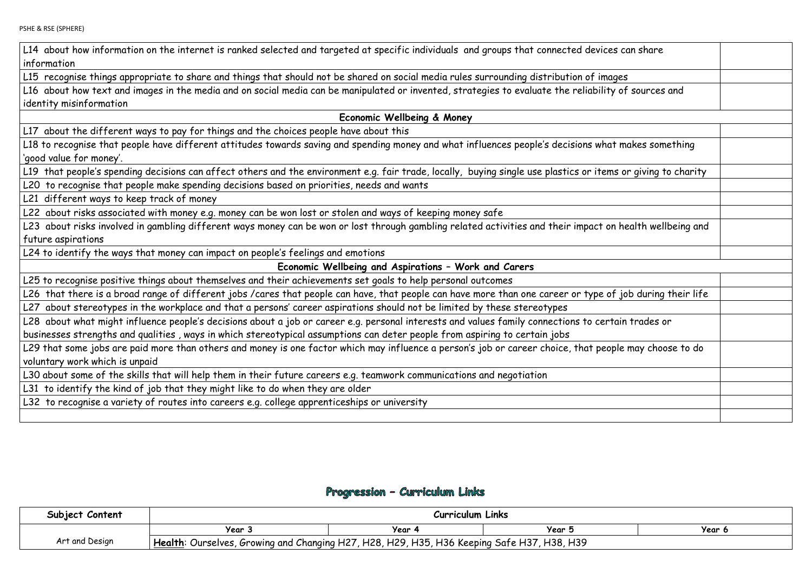L14 about how information on the internet is ranked selected and targeted at specific individuals and groups that connected devices information

L15 recognise things appropriate to share and things that should not be shared on social media rules surrounding distribution of imag L16 about how text and images in the media and on social media can be manipulated or invented, strategies to evaluate the reliability identity misinformation

L18 to recognise that people have different attitudes towards saving and spending money and what influences people's decisions what 'good value for money'.

L19 that people's spending decisions can affect others and the environment e.g. fair trade, locally, buying single use plastics or item:

**Economic Wellbeing & Money** 

L17 about the different ways to pay for things and the choices people have about this

L23 about risks involved in gambling different ways money can be won or lost through gambling related activities and their impact or future aspirations

L20 to recognise that people make spending decisions based on priorities, needs and wants

L21 different ways to keep track of money

L28 about what might influence people's decisions about a job or career e.g. personal interests and values family connections to cert businesses strengths and qualities , ways in which stereotypical assumptions can deter people from aspiring to certain jobs

L22 about risks associated with money e.g. money can be won lost or stolen and ways of keeping money safe

L29 that some jobs are paid more than others and money is one factor which may influence a person's job or career choice, that peop voluntary work which is unpaid

L24 to identify the ways that money can impact on people's feelings and emotions

### **Economic Wellbeing and Aspirations – Work and Carers**

L25 to recognise positive things about themselves and their achievements set goals to help personal outcomes

L26 that there is a broad range of different jobs /cares that people can have, that people can have more than one career or type of

L27 about stereotypes in the workplace and that a persons' career aspirations should not be limited by these stereotypes

L30 about some of the skills that will help them in their future careers e.g. teamwork communications and negotiation

L31 to identify the kind of job that they might like to do when they are older

L32 to recognise a variety of routes into careers e.g. college apprenticeships or university

## Progression - Curriculum Links

| Subject Content | <b>Curriculum Links</b>                                                                    |      |        |        |
|-----------------|--------------------------------------------------------------------------------------------|------|--------|--------|
|                 | Year                                                                                       | Year | Year : | Year 6 |
| Art and Design  | Health: Ourselves, Growing and Changing H27, H28, H29, H35, H36 Keeping Safe H37, H38, H39 |      |        |        |

| s can share             |  |
|-------------------------|--|
| ges                     |  |
| of sources and          |  |
|                         |  |
|                         |  |
| t makes something       |  |
| s or giving to charity  |  |
|                         |  |
|                         |  |
|                         |  |
| n health wellbeing and  |  |
|                         |  |
|                         |  |
|                         |  |
| f job during their life |  |
|                         |  |
| ain trades or           |  |
| ble may choose to do    |  |
|                         |  |
|                         |  |
|                         |  |
|                         |  |
|                         |  |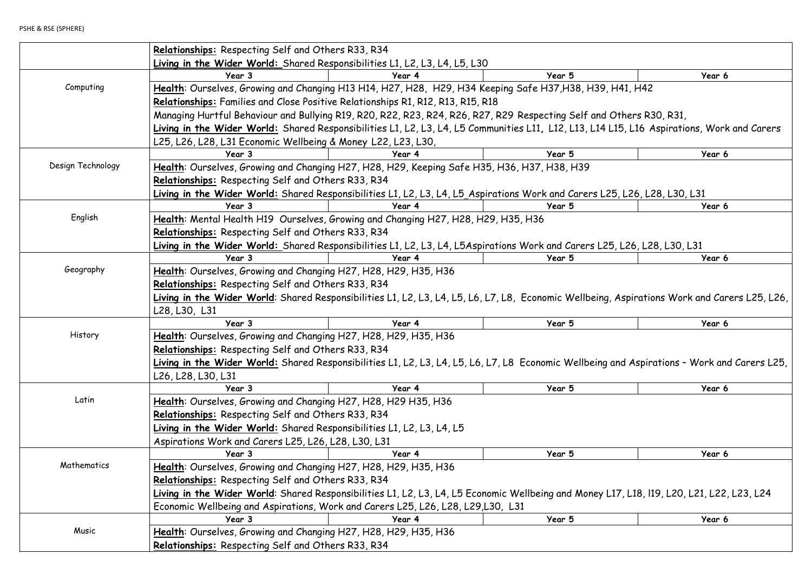|                   | Relationships: Respecting Self and Others R33, R34                    |                                                                                                                                              |        |        |  |  |  |
|-------------------|-----------------------------------------------------------------------|----------------------------------------------------------------------------------------------------------------------------------------------|--------|--------|--|--|--|
|                   |                                                                       | Living in the Wider World: Shared Responsibilities L1, L2, L3, L4, L5, L30                                                                   |        |        |  |  |  |
|                   | Year 3                                                                | Year 4                                                                                                                                       | Year 5 | Year 6 |  |  |  |
| Computing         |                                                                       | Health: Ourselves, Growing and Changing H13 H14, H27, H28, H29, H34 Keeping Safe H37, H38, H39, H41, H42                                     |        |        |  |  |  |
|                   |                                                                       | Relationships: Families and Close Positive Relationships R1, R12, R13, R15, R18                                                              |        |        |  |  |  |
|                   |                                                                       | Managing Hurtful Behaviour and Bullying R19, R20, R22, R23, R24, R26, R27, R29 Respecting Self and Others R30, R31,                          |        |        |  |  |  |
|                   |                                                                       | Living in the Wider World: Shared Responsibilities L1, L2, L3, L4, L5 Communities L11, L12, L13, L14 L15, L16 Aspirations, Work and Carers   |        |        |  |  |  |
|                   | L25, L26, L28, L31 Economic Wellbeing & Money L22, L23, L30,          |                                                                                                                                              |        |        |  |  |  |
|                   | Year 3                                                                | Year 4                                                                                                                                       | Year 5 | Year 6 |  |  |  |
| Design Technology |                                                                       | Health: Ourselves, Growing and Changing H27, H28, H29, Keeping Safe H35, H36, H37, H38, H39                                                  |        |        |  |  |  |
|                   | Relationships: Respecting Self and Others R33, R34                    |                                                                                                                                              |        |        |  |  |  |
|                   |                                                                       | Living in the Wider World: Shared Responsibilities L1, L2, L3, L4, L5_Aspirations Work and Carers L25, L26, L28, L30, L31                    |        |        |  |  |  |
|                   | Year 3                                                                | Year 4                                                                                                                                       | Year 5 | Year 6 |  |  |  |
| English           |                                                                       | Health: Mental Health H19 Ourselves, Growing and Changing H27, H28, H29, H35, H36                                                            |        |        |  |  |  |
|                   | Relationships: Respecting Self and Others R33, R34                    |                                                                                                                                              |        |        |  |  |  |
|                   |                                                                       | Living in the Wider World: Shared Responsibilities L1, L2, L3, L4, L5Aspirations Work and Carers L25, L26, L28, L30, L31                     |        |        |  |  |  |
|                   | Year 3                                                                | Year 4                                                                                                                                       | Year 5 | Year 6 |  |  |  |
| Geography         | Health: Ourselves, Growing and Changing H27, H28, H29, H35, H36       |                                                                                                                                              |        |        |  |  |  |
|                   | Relationships: Respecting Self and Others R33, R34                    |                                                                                                                                              |        |        |  |  |  |
|                   |                                                                       | Living in the Wider World: Shared Responsibilities L1, L2, L3, L4, L5, L6, L7, L8, Economic Wellbeing, Aspirations Work and Carers L25, L26, |        |        |  |  |  |
|                   | L28, L30, L31                                                         |                                                                                                                                              |        |        |  |  |  |
|                   | Year 3                                                                | Year 4                                                                                                                                       | Year 5 | Year 6 |  |  |  |
| History           | Health: Ourselves, Growing and Changing H27, H28, H29, H35, H36       |                                                                                                                                              |        |        |  |  |  |
|                   | Relationships: Respecting Self and Others R33, R34                    |                                                                                                                                              |        |        |  |  |  |
|                   |                                                                       | Living in the Wider World: Shared Responsibilities L1, L2, L3, L4, L5, L6, L7, L8 Economic Wellbeing and Aspirations - Work and Carers L25,  |        |        |  |  |  |
|                   | L26, L28, L30, L31                                                    |                                                                                                                                              |        |        |  |  |  |
|                   | Year 3                                                                | Year 4                                                                                                                                       | Year 5 | Year 6 |  |  |  |
| Latin             | Health: Ourselves, Growing and Changing H27, H28, H29 H35, H36        |                                                                                                                                              |        |        |  |  |  |
|                   | Relationships: Respecting Self and Others R33, R34                    |                                                                                                                                              |        |        |  |  |  |
|                   | Living in the Wider World: Shared Responsibilities L1, L2, L3, L4, L5 |                                                                                                                                              |        |        |  |  |  |
|                   | Aspirations Work and Carers L25, L26, L28, L30, L31                   |                                                                                                                                              |        |        |  |  |  |
|                   | Year 3                                                                | Year 4                                                                                                                                       | Year 5 | Year 6 |  |  |  |
| Mathematics       | Health: Ourselves, Growing and Changing H27, H28, H29, H35, H36       |                                                                                                                                              |        |        |  |  |  |
|                   | Relationships: Respecting Self and Others R33, R34                    |                                                                                                                                              |        |        |  |  |  |
|                   |                                                                       | Living in the Wider World: Shared Responsibilities L1, L2, L3, L4, L5 Economic Wellbeing and Money L17, L18, l19, L20, L21, L22, L23, L24    |        |        |  |  |  |
|                   |                                                                       | Economic Wellbeing and Aspirations, Work and Carers L25, L26, L28, L29, L30, L31                                                             |        |        |  |  |  |
|                   | Year 3                                                                | Year 4                                                                                                                                       | Year 5 | Year 6 |  |  |  |
| Music             | Health: Ourselves, Growing and Changing H27, H28, H29, H35, H36       |                                                                                                                                              |        |        |  |  |  |
|                   | Relationships: Respecting Self and Others R33, R34                    |                                                                                                                                              |        |        |  |  |  |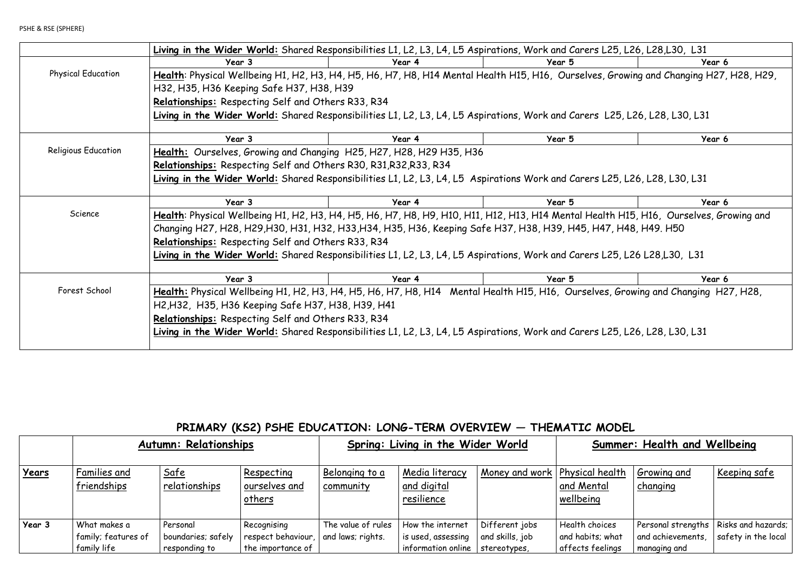|                            | Living in the Wider World: Shared Responsibilities L1, L2, L3, L4, L5 Aspirations, Work and Carers L25, L26, L28,L30, L31             |        |        |        |  |  |
|----------------------------|---------------------------------------------------------------------------------------------------------------------------------------|--------|--------|--------|--|--|
|                            | Year 3                                                                                                                                | Year 4 | Year 5 | Year 6 |  |  |
| <b>Physical Education</b>  | Health: Physical Wellbeing H1, H2, H3, H4, H5, H6, H7, H8, H14 Mental Health H15, H16, Ourselves, Growing and Changing H27, H28, H29, |        |        |        |  |  |
|                            | H32, H35, H36 Keeping Safe H37, H38, H39                                                                                              |        |        |        |  |  |
|                            | Relationships: Respecting Self and Others R33, R34                                                                                    |        |        |        |  |  |
|                            | Living in the Wider World: Shared Responsibilities L1, L2, L3, L4, L5 Aspirations, Work and Carers L25, L26, L28, L30, L31            |        |        |        |  |  |
|                            |                                                                                                                                       |        |        |        |  |  |
|                            | Year 3                                                                                                                                | Year 4 | Year 5 | Year 6 |  |  |
| <b>Religious Education</b> | Health: Ourselves, Growing and Changing H25, H27, H28, H29 H35, H36                                                                   |        |        |        |  |  |
|                            | Relationships: Respecting Self and Others R30, R31, R32, R33, R34                                                                     |        |        |        |  |  |
|                            | Living in the Wider World: Shared Responsibilities L1, L2, L3, L4, L5 Aspirations Work and Carers L25, L26, L28, L30, L31             |        |        |        |  |  |
|                            |                                                                                                                                       |        |        |        |  |  |
|                            | Year 3                                                                                                                                | Year 4 | Year 5 | Year 6 |  |  |
| Science                    | Health: Physical Wellbeing H1, H2, H3, H4, H5, H6, H7, H8, H9, H10, H11, H12, H13, H14 Mental Health H15, H16, Ourselves, Growing and |        |        |        |  |  |
|                            | Changing H27, H28, H29,H30, H31, H32, H33,H34, H35, H36, Keeping Safe H37, H38, H39, H45, H47, H48, H49. H50                          |        |        |        |  |  |
|                            | Relationships: Respecting Self and Others R33, R34                                                                                    |        |        |        |  |  |
|                            | Living in the Wider World: Shared Responsibilities L1, L2, L3, L4, L5 Aspirations, Work and Carers L25, L26 L28,L30, L31              |        |        |        |  |  |
|                            |                                                                                                                                       |        |        |        |  |  |
|                            | Year 3                                                                                                                                | Year 4 | Year 5 | Year 6 |  |  |
| Forest School              | Health: Physical Wellbeing H1, H2, H3, H4, H5, H6, H7, H8, H14 Mental Health H15, H16, Ourselves, Growing and Changing H27, H28,      |        |        |        |  |  |
|                            | H2, H32, H35, H36 Keeping Safe H37, H38, H39, H41                                                                                     |        |        |        |  |  |
|                            | Relationships: Respecting Self and Others R33, R34                                                                                    |        |        |        |  |  |
|                            | Living in the Wider World: Shared Responsibilities L1, L2, L3, L4, L5 Aspirations, Work and Carers L25, L26, L28, L30, L31            |        |        |        |  |  |
|                            |                                                                                                                                       |        |        |        |  |  |

# **PRIMARY (KS2) PSHE EDUCATION: LONG-TERM OVERVIEW — THEMATIC MODEL**

|              |                                                    | <b>Autumn: Relationships</b>                    |                                                                              |                             | Spring: Living in the Wider World                            |                                                   |                                                        | Summer: Health and Wellbeing      |                                                                |
|--------------|----------------------------------------------------|-------------------------------------------------|------------------------------------------------------------------------------|-----------------------------|--------------------------------------------------------------|---------------------------------------------------|--------------------------------------------------------|-----------------------------------|----------------------------------------------------------------|
| <u>Years</u> | Families and<br>friendships                        | Safe<br>relationships                           | Respecting<br>ourselves and<br>others                                        | Belonging to a<br>community | Media literacy<br>and digital<br>resilience                  | Money and work   Physical health                  | and Mental<br>wellbeing                                | Growing and<br>changing           | <u>Keeping safe</u>                                            |
| Year 3       | What makes a<br>family; features of<br>family life | Personal<br>boundaries; safely<br>responding to | Recognising<br>respect behaviour, $ $ and laws; rights.<br>the importance of | The value of rules          | How the internet<br>is used, assessing<br>information online | Different jobs<br>and skills, job<br>stereotypes, | Health choices<br>and habits; what<br>affects feelings | and achievements,<br>managing and | Personal strengths   Risks and hazards;<br>safety in the local |

| 5, L26, L28, L30, L31               |
|-------------------------------------|
| Year 6                              |
| Frowing and Changing H27, H28, H29, |
|                                     |
|                                     |
| 25, L26, L28, L30, L31              |
|                                     |
| Year 6                              |
|                                     |
|                                     |
|                                     |
| 5, L26, L28, L30, L31               |
|                                     |
| Year 6                              |
| 1 H15, H16, Ourselves, Growing and  |
| , H48, H49. H50                     |
|                                     |
| 5, L26 L28, L30, L31                |
|                                     |
| Year 6                              |
|                                     |
| Growing and Changing H27, H28,      |
|                                     |
|                                     |
| 5, L26, L28, L30, L31               |
|                                     |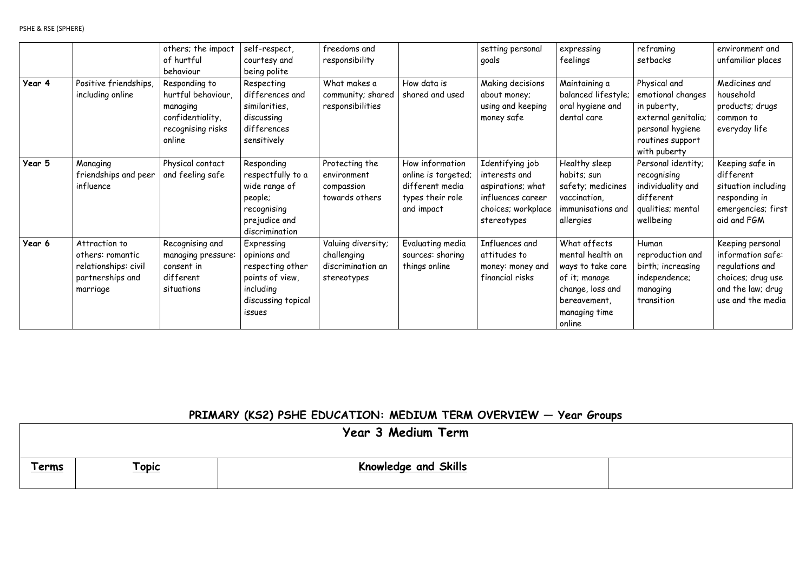|        |                                                                                           | others; the impact<br>of hurtful<br>behaviour                                                      | self-respect,<br>courtesy and<br>being polite                                                                  | freedoms and<br>responsibility                                        |                                                                                             | setting personal<br>goals                                                                                       | expressing<br>feelings                                                                                                                | reframing<br>setbacks                                                                                                           | environment and<br>unfamiliar places                                                                                    |
|--------|-------------------------------------------------------------------------------------------|----------------------------------------------------------------------------------------------------|----------------------------------------------------------------------------------------------------------------|-----------------------------------------------------------------------|---------------------------------------------------------------------------------------------|-----------------------------------------------------------------------------------------------------------------|---------------------------------------------------------------------------------------------------------------------------------------|---------------------------------------------------------------------------------------------------------------------------------|-------------------------------------------------------------------------------------------------------------------------|
| Year 4 | Positive friendships,<br>including online                                                 | Responding to<br>hurtful behaviour,<br>managing<br>confidentiality,<br>recognising risks<br>online | Respecting<br>differences and<br>similarities,<br>discussing<br>differences<br>sensitively                     | What makes a<br>community; shared<br>responsibilities                 | How data is<br>shared and used                                                              | Making decisions<br>about money;<br>using and keeping<br>money safe                                             | Maintaining a<br>balanced lifestyle;<br>oral hygiene and<br>dental care                                                               | Physical and<br>emotional changes<br>in puberty,<br>external genitalia;<br>personal hygiene<br>routines support<br>with puberty | Medicines and<br>household<br>products; drugs<br>common to<br>everyday life                                             |
| Year 5 | Managing<br>friendships and peer<br>influence                                             | Physical contact<br>and feeling safe                                                               | Responding<br>respectfully to a<br>wide range of<br>people;<br>recognising<br>prejudice and<br>discrimination  | Protecting the<br>environment<br>compassion<br>towards others         | How information<br>online is targeted;<br>different media<br>types their role<br>and impact | Identifying job<br>interests and<br>aspirations; what<br>influences career<br>choices; workplace<br>stereotypes | Healthy sleep<br>habits; sun<br>safety; medicines<br>vaccination,<br>immunisations and<br>allergies                                   | Personal identity;<br>recognising<br>individuality and<br>different<br>qualities; mental<br>wellbeing                           | Keeping safe in<br>different<br>situation including<br>responding in<br>emergencies; first<br>aid and FGM               |
| Year 6 | Attraction to<br>others: romantic<br>relationships: civil<br>partnerships and<br>marriage | Recognising and<br>managing pressure:<br>consent in<br>different<br>situations                     | Expressing<br>opinions and<br>respecting other<br>points of view,<br>including<br>discussing topical<br>issues | Valuing diversity;<br>challenging<br>discrimination an<br>stereotypes | Evaluating media<br>sources: sharing<br>things online                                       | Influences and<br>attitudes to<br>money: money and<br>financial risks                                           | What affects<br>mental health an<br>ways to take care<br>of it; manage<br>change, loss and<br>bereavement,<br>managing time<br>online | Human<br>reproduction and<br>birth; increasing<br>independence;<br>managing<br>transition                                       | Keeping personal<br>information safe:<br>regulations and<br>choices; drug use<br>and the law; drug<br>use and the media |

# **PRIMARY (KS2) PSHE EDUCATION: MEDIUM TERM OVERVIEW — Year Groups**

|              |              | Year 3 Medium Term          |  |
|--------------|--------------|-----------------------------|--|
| <u>Terms</u> | <u>Topic</u> | <b>Knowledge and Skills</b> |  |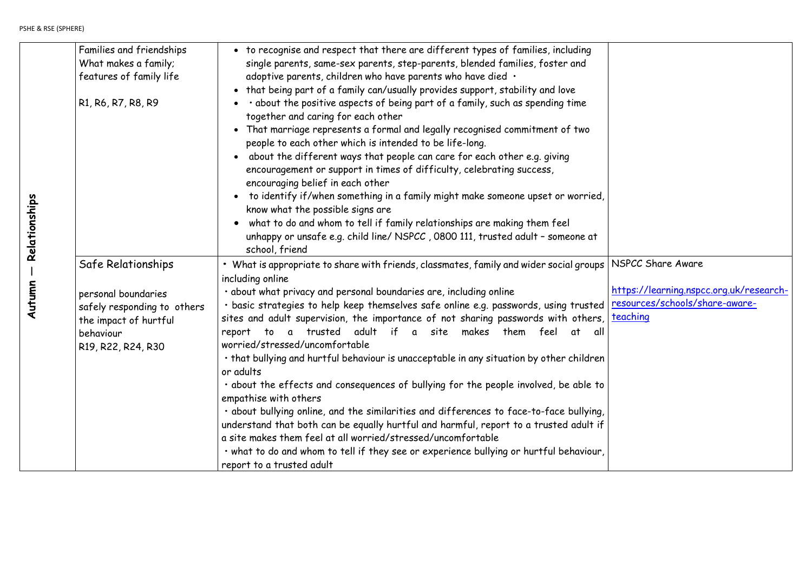| kelationships | Families and friendships<br>What makes a family;<br>features of family life<br>R1, R6, R7, R8, R9                                    | • to recognise and respect that there are different types of families, including<br>single parents, same-sex parents, step-parents, blended families, foster and<br>adoptive parents, children who have parents who have died .<br>• that being part of a family can/usually provides support, stability and love<br>· about the positive aspects of being part of a family, such as spending time<br>together and caring for each other<br>That marriage represents a formal and legally recognised commitment of two<br>$\bullet$<br>people to each other which is intended to be life-long.<br>about the different ways that people can care for each other e.g. giving<br>$\bullet$<br>encouragement or support in times of difficulty, celebrating success,<br>encouraging belief in each other<br>to identify if/when something in a family might make someone upset or worried,<br>know what the possible signs are<br>what to do and whom to tell if family relationships are making them feel<br>unhappy or unsafe e.g. child line/ NSPCC, 0800 111, trusted adult - someone at<br>school, friend   |
|---------------|--------------------------------------------------------------------------------------------------------------------------------------|--------------------------------------------------------------------------------------------------------------------------------------------------------------------------------------------------------------------------------------------------------------------------------------------------------------------------------------------------------------------------------------------------------------------------------------------------------------------------------------------------------------------------------------------------------------------------------------------------------------------------------------------------------------------------------------------------------------------------------------------------------------------------------------------------------------------------------------------------------------------------------------------------------------------------------------------------------------------------------------------------------------------------------------------------------------------------------------------------------------|
| <b>Autumn</b> | Safe Relationships<br>personal boundaries<br>safely responding to others<br>the impact of hurtful<br>behaviour<br>R19, R22, R24, R30 | • What is appropriate to share with friends, classmates, family and wider social groups<br>including online<br>· about what privacy and personal boundaries are, including online<br>· basic strategies to help keep themselves safe online e.g. passwords, using trusted<br>sites and adult supervision, the importance of not sharing passwords with others,<br>trusted adult<br>makes<br>if<br>a site<br>them<br>feel<br>report<br>to<br>at<br>all<br>$\mathbf{a}$<br>worried/stressed/uncomfortable<br>• that bullying and hurtful behaviour is unacceptable in any situation by other children<br>or adults<br>• about the effects and consequences of bullying for the people involved, be able to<br>empathise with others<br>· about bullying online, and the similarities and differences to face-to-face bullying,<br>understand that both can be equally hurtful and harmful, report to a trusted adult if<br>a site makes them feel at all worried/stressed/uncomfortable<br>· what to do and whom to tell if they see or experience bullying or hurtful behaviour,<br>report to a trusted adult |

NSPCC Share Aware

[https://learning.nspcc.org.uk/research](https://learning.nspcc.org.uk/research-resources/schools/share-aware-teaching)[resources/schools/share-aware](https://learning.nspcc.org.uk/research-resources/schools/share-aware-teaching)[teaching](https://learning.nspcc.org.uk/research-resources/schools/share-aware-teaching)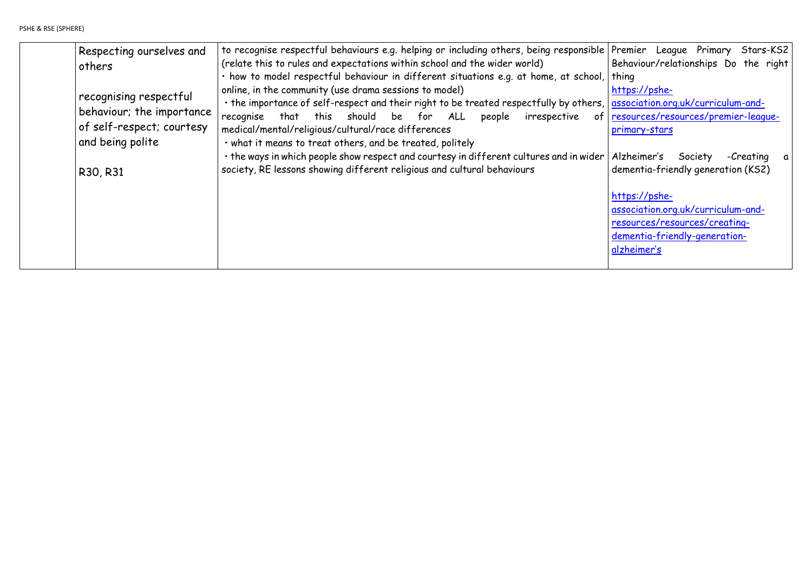| Respecting ourselves and<br>others<br>recognising respectful<br>behaviour; the importance | to recognise respectful behaviours e.g. helping or including others, being responsible<br>(relate this to rules and expectations within school and the wider world)<br>· how to model respectful behaviour in different situations e.g. at home, at school,<br>online, in the community (use drama sessions to model)<br>· the importance of self-respect and their right to be treated respectfully by others, |
|-------------------------------------------------------------------------------------------|-----------------------------------------------------------------------------------------------------------------------------------------------------------------------------------------------------------------------------------------------------------------------------------------------------------------------------------------------------------------------------------------------------------------|
| of self-respect; courtesy<br>and being polite<br>R30, R31                                 | this should be for ALL<br>recognise<br>that<br>people<br>irrespective<br>of<br>medical/mental/religious/cultural/race differences<br>· what it means to treat others, and be treated, politely<br>• the ways in which people show respect and courtesy in different cultures and in wider<br>society, RE lessons showing different religious and cultural behaviours                                            |
|                                                                                           |                                                                                                                                                                                                                                                                                                                                                                                                                 |

Premier League Primary Stars-KS2 Behaviour/relationships Do the right thing [https://pshe](https://pshe-association.org.uk/curriculum-and-resources/resources/premier-league-primary-stars)[association.org.uk/curriculum-and](https://pshe-association.org.uk/curriculum-and-resources/resources/premier-league-primary-stars)[resources/resources/premier-league](https://pshe-association.org.uk/curriculum-and-resources/resources/premier-league-primary-stars)[primary-stars](https://pshe-association.org.uk/curriculum-and-resources/resources/premier-league-primary-stars) Alzheimer's Society -Creating a dementia-friendly generation (KS2) [https://pshe](https://pshe-association.org.uk/curriculum-and-resources/resources/creating-dementia-friendly-generation-alzheimer%E2%80%99s)[association.org.uk/curriculum-and](https://pshe-association.org.uk/curriculum-and-resources/resources/creating-dementia-friendly-generation-alzheimer%E2%80%99s)[resources/resources/creating](https://pshe-association.org.uk/curriculum-and-resources/resources/creating-dementia-friendly-generation-alzheimer%E2%80%99s)[dementia-friendly-generation](https://pshe-association.org.uk/curriculum-and-resources/resources/creating-dementia-friendly-generation-alzheimer%E2%80%99s)[alzheimer's](https://pshe-association.org.uk/curriculum-and-resources/resources/creating-dementia-friendly-generation-alzheimer%E2%80%99s)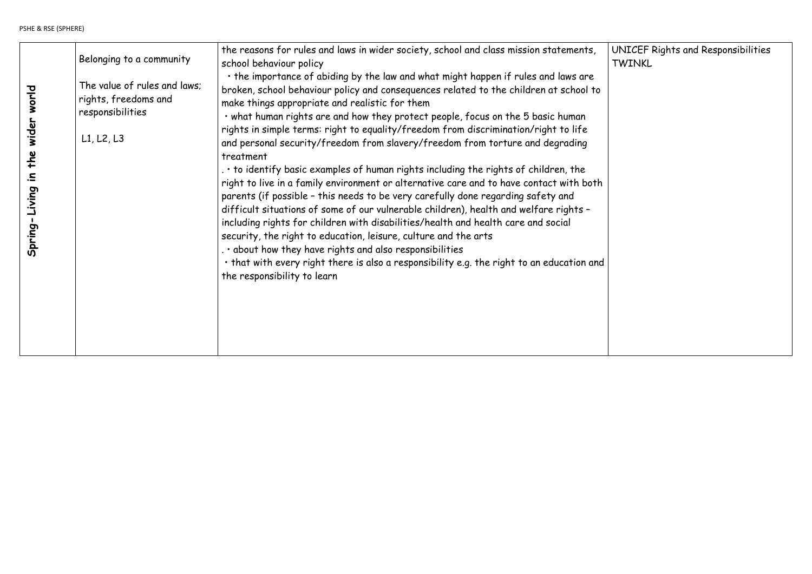|                                    | Belonging to a community                                                               | the reasons for rules and laws in wider society, school and class mission statements,<br>school behaviour policy                                                                                                                                                                                                                                                                                                                                                                                                                                                                                                                                                                                                              |
|------------------------------------|----------------------------------------------------------------------------------------|-------------------------------------------------------------------------------------------------------------------------------------------------------------------------------------------------------------------------------------------------------------------------------------------------------------------------------------------------------------------------------------------------------------------------------------------------------------------------------------------------------------------------------------------------------------------------------------------------------------------------------------------------------------------------------------------------------------------------------|
| wider world                        | The value of rules and laws;<br>rights, freedoms and<br>responsibilities<br>L1, L2, L3 | . the importance of abiding by the law and what might happen if rules and laws are<br>broken, school behaviour policy and consequences related to the children at school to<br>make things appropriate and realistic for them<br>. what human rights are and how they protect people, focus on the 5 basic human<br>rights in simple terms: right to equality/freedom from discrimination/right to life<br>and personal security/freedom from slavery/freedom from torture and degrading                                                                                                                                                                                                                                      |
| the<br>$\ddot{=}$<br>Spring-Living |                                                                                        | treatment<br>$\cdot$ to identify basic examples of human rights including the rights of children, the<br>right to live in a family environment or alternative care and to have contact with both<br>parents (if possible - this needs to be very carefully done regarding safety and<br>difficult situations of some of our vulnerable children), health and welfare rights -<br>including rights for children with disabilities/health and health care and social<br>security, the right to education, leisure, culture and the arts<br>. . about how they have rights and also responsibilities<br>. that with every right there is also a responsibility e.g. the right to an education and<br>the responsibility to learn |
|                                    |                                                                                        |                                                                                                                                                                                                                                                                                                                                                                                                                                                                                                                                                                                                                                                                                                                               |

UNICEF Rights and Responsibilities TWINKL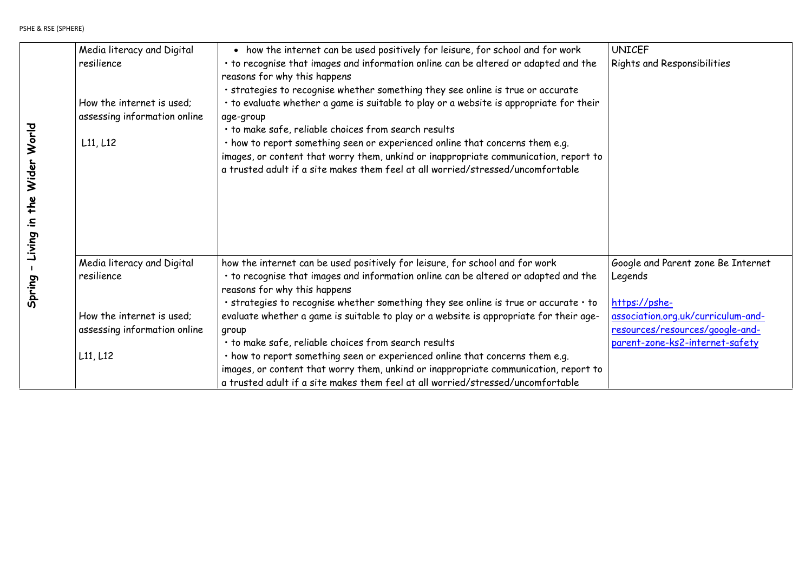UNICEF  $\big|$  Rights and Responsibilities

|                             | Media literacy and Digital<br>resilience<br>How the internet is used:<br>assessing information online<br>L11, L12 | • how the internet can be used positively for leisure, for school and for work<br>• to recognise that images and information online can be altered or adapted and the<br>reasons for why this happens<br>· strategies to recognise whether something they see online is true or accurate<br>• to evaluate whether a game is suitable to play or a website is appropriate for their<br>age-group<br>· to make safe, reliable choices from search results<br>· how to report something seen or experienced online that concerns them e.g.<br>images, or content that worry them, unkind or inappropriate communication, report to<br>a trusted adult if a site makes them feel at all worried/stressed/uncomfortable |
|-----------------------------|-------------------------------------------------------------------------------------------------------------------|--------------------------------------------------------------------------------------------------------------------------------------------------------------------------------------------------------------------------------------------------------------------------------------------------------------------------------------------------------------------------------------------------------------------------------------------------------------------------------------------------------------------------------------------------------------------------------------------------------------------------------------------------------------------------------------------------------------------|
| - Living in the Wider World |                                                                                                                   |                                                                                                                                                                                                                                                                                                                                                                                                                                                                                                                                                                                                                                                                                                                    |
| Spring                      | Media literacy and Digital<br>resilience                                                                          | how the internet can be used positively for leisure, for school and for work<br>• to recognise that images and information online can be altered or adapted and the<br>reasons for why this happens                                                                                                                                                                                                                                                                                                                                                                                                                                                                                                                |
|                             | How the internet is used;<br>assessing information online                                                         | $\cdot$ strategies to recognise whether something they see online is true or accurate $\cdot$ to<br>evaluate whether a game is suitable to play or a website is appropriate for their age-<br>group                                                                                                                                                                                                                                                                                                                                                                                                                                                                                                                |
|                             | L11, L12                                                                                                          | · to make safe, reliable choices from search results<br>· how to report something seen or experienced online that concerns them e.g.<br>images, or content that worry them, unkind or inappropriate communication, report to<br>a trusted adult if a site makes them feel at all worried/stressed/uncomfortable                                                                                                                                                                                                                                                                                                                                                                                                    |

Google and Parent zone Be Internet Legends

[https://pshe](https://pshe-association.org.uk/curriculum-and-resources/resources/google-and-parent-zone-ks2-internet-safety)[association.org.uk/curriculum-and](https://pshe-association.org.uk/curriculum-and-resources/resources/google-and-parent-zone-ks2-internet-safety)[resources/resources/google-and](https://pshe-association.org.uk/curriculum-and-resources/resources/google-and-parent-zone-ks2-internet-safety)[parent-zone-ks2-internet-safety](https://pshe-association.org.uk/curriculum-and-resources/resources/google-and-parent-zone-ks2-internet-safety)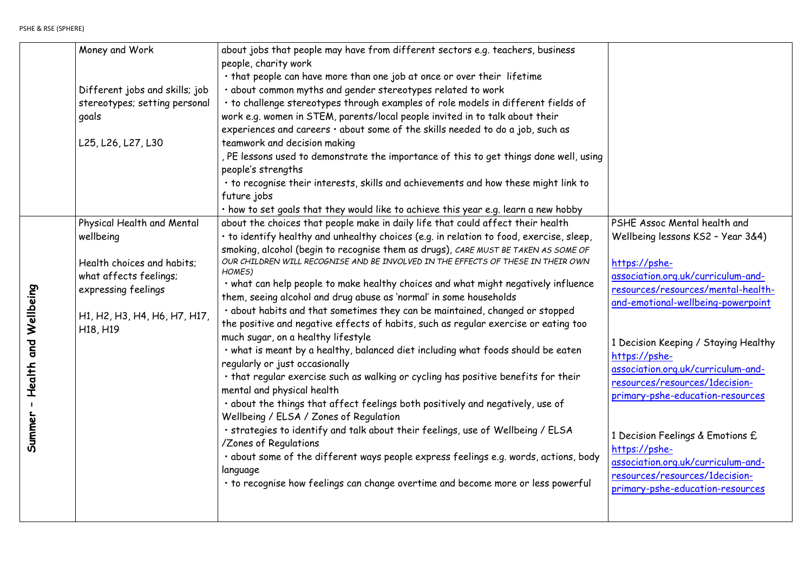|                      | Money and Work                                | about jobs that people may have from different sectors e.g. teachers, business          |
|----------------------|-----------------------------------------------|-----------------------------------------------------------------------------------------|
|                      |                                               | people, charity work                                                                    |
|                      |                                               | . that people can have more than one job at once or over their lifetime                 |
|                      | Different jobs and skills; job                | · about common myths and gender stereotypes related to work                             |
|                      | stereotypes; setting personal                 | · to challenge stereotypes through examples of role models in different fields of       |
|                      | goals                                         | work e.g. women in STEM, parents/local people invited in to talk about their            |
|                      |                                               | experiences and careers · about some of the skills needed to do a job, such as          |
|                      | L25, L26, L27, L30                            | teamwork and decision making                                                            |
|                      |                                               | , PE lessons used to demonstrate the importance of this to get things done well, using  |
|                      |                                               | people's strengths                                                                      |
|                      |                                               | • to recognise their interests, skills and achievements and how these might link to     |
|                      |                                               | future jobs                                                                             |
|                      |                                               | . how to set goals that they would like to achieve this year e.g. learn a new hobby     |
|                      | Physical Health and Mental                    | about the choices that people make in daily life that could affect their health         |
|                      | wellbeing                                     | · to identify healthy and unhealthy choices (e.g. in relation to food, exercise, sleep, |
|                      |                                               | smoking, alcohol (begin to recognise them as drugs), CARE MUST BE TAKEN AS SOME OF      |
|                      | Health choices and habits;                    | OUR CHILDREN WILL RECOGNISE AND BE INVOLVED IN THE EFFECTS OF THESE IN THEIR OWN        |
|                      | what affects feelings;<br>expressing feelings | HOMES)                                                                                  |
|                      |                                               | . what can help people to make healthy choices and what might negatively influence      |
|                      |                                               | them, seeing alcohol and drug abuse as 'normal' in some households                      |
|                      | H1, H2, H3, H4, H6, H7, H17,                  | · about habits and that sometimes they can be maintained, changed or stopped            |
| Wellbeing            | H <sub>18</sub> , H <sub>19</sub>             | the positive and negative effects of habits, such as regular exercise or eating too     |
| $\mathbf{\sigma}$    |                                               | much sugar, on a healthy lifestyle                                                      |
| $\tilde{\mathbf{s}}$ |                                               | . what is meant by a healthy, balanced diet including what foods should be eaten        |
|                      |                                               | regularly or just occasionally                                                          |
| <b>Health</b>        |                                               | . that regular exercise such as walking or cycling has positive benefits for their      |
|                      |                                               | mental and physical health                                                              |
|                      |                                               | . about the things that affect feelings both positively and negatively, use of          |
|                      |                                               | Wellbeing / ELSA / Zones of Regulation                                                  |
| Summer               |                                               | · strategies to identify and talk about their feelings, use of Wellbeing / ELSA         |
|                      |                                               | /Zones of Regulations                                                                   |
|                      |                                               | . about some of the different ways people express feelings e.g. words, actions, body    |
|                      |                                               | language                                                                                |
|                      |                                               | • to recognise how feelings can change overtime and become more or less powerful        |
|                      |                                               |                                                                                         |
|                      |                                               |                                                                                         |
|                      |                                               |                                                                                         |

PSHE Assoc Mental health and Wellbeing lessons KS2 – Year 3&4)

[https://pshe](https://pshe-association.org.uk/curriculum-and-resources/resources/mental-health-and-emotional-wellbeing-powerpoint)[association.org.uk/curriculum-and](https://pshe-association.org.uk/curriculum-and-resources/resources/mental-health-and-emotional-wellbeing-powerpoint)[resources/resources/mental-health](https://pshe-association.org.uk/curriculum-and-resources/resources/mental-health-and-emotional-wellbeing-powerpoint)[and-emotional-wellbeing-powerpoint](https://pshe-association.org.uk/curriculum-and-resources/resources/mental-health-and-emotional-wellbeing-powerpoint)

1 Decision Keeping / Staying Healthy [https://pshe](https://pshe-association.org.uk/curriculum-and-resources/resources/1decision-primary-pshe-education-resources)[association.org.uk/curriculum-and](https://pshe-association.org.uk/curriculum-and-resources/resources/1decision-primary-pshe-education-resources)[resources/resources/1decision](https://pshe-association.org.uk/curriculum-and-resources/resources/1decision-primary-pshe-education-resources)[primary-pshe-education-resources](https://pshe-association.org.uk/curriculum-and-resources/resources/1decision-primary-pshe-education-resources)

1 Decision Feelings & Emotions £ [https://pshe](https://pshe-association.org.uk/curriculum-and-resources/resources/1decision-primary-pshe-education-resources)[association.org.uk/curriculum-and](https://pshe-association.org.uk/curriculum-and-resources/resources/1decision-primary-pshe-education-resources)[resources/resources/1decision](https://pshe-association.org.uk/curriculum-and-resources/resources/1decision-primary-pshe-education-resources)[primary-pshe-education-resources](https://pshe-association.org.uk/curriculum-and-resources/resources/1decision-primary-pshe-education-resources)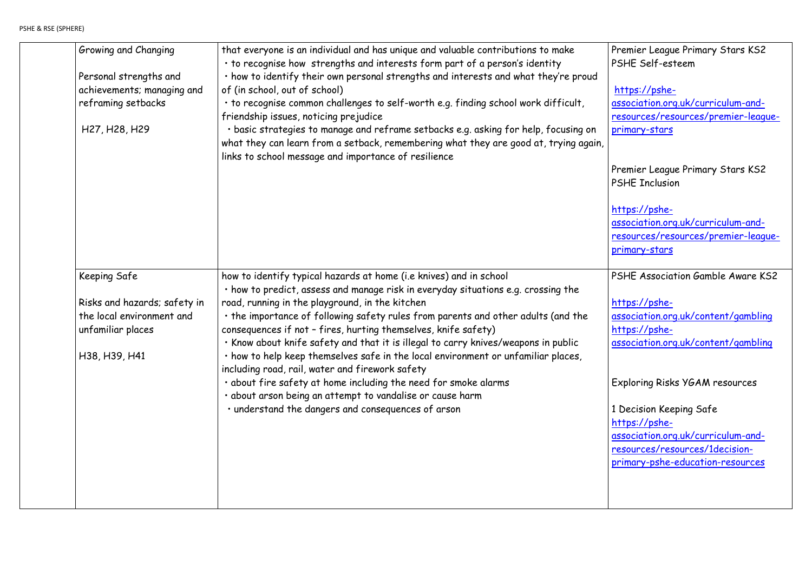Premier League Primary Stars KS2 PSHE Self-esteem

[https://pshe](https://pshe-association.org.uk/curriculum-and-resources/resources/premier-league-primary-stars)[association.org.uk/curriculum-and](https://pshe-association.org.uk/curriculum-and-resources/resources/premier-league-primary-stars)[resources/resources/premier-league](https://pshe-association.org.uk/curriculum-and-resources/resources/premier-league-primary-stars)[primary-stars](https://pshe-association.org.uk/curriculum-and-resources/resources/premier-league-primary-stars)

Premier League Primary Stars KS2 PSHE Inclusion

| Growing and Changing<br>Personal strengths and<br>achievements; managing and<br>reframing setbacks<br>H <sub>27</sub> , H <sub>28</sub> , H <sub>29</sub> | that everyone is an individual and has unique and valuable contributions to make<br>. to recognise how strengths and interests form part of a person's identity<br>. how to identify their own personal strengths and interests and what they're proud<br>of (in school, out of school)<br>. to recognise common challenges to self-worth e.g. finding school work difficult,<br>friendship issues, noticing prejudice<br>· basic strategies to manage and reframe setbacks e.g. asking for help, focusing on<br>what they can learn from a setback, remembering what they are good at, trying again,<br>links to school message and importance of resilience                                                                                                                         |
|-----------------------------------------------------------------------------------------------------------------------------------------------------------|---------------------------------------------------------------------------------------------------------------------------------------------------------------------------------------------------------------------------------------------------------------------------------------------------------------------------------------------------------------------------------------------------------------------------------------------------------------------------------------------------------------------------------------------------------------------------------------------------------------------------------------------------------------------------------------------------------------------------------------------------------------------------------------|
| <b>Keeping Safe</b><br>Risks and hazards; safety in<br>the local environment and<br>unfamiliar places<br>H38, H39, H41                                    | how to identify typical hazards at home (i.e knives) and in school<br>. how to predict, assess and manage risk in everyday situations e.g. crossing the<br>road, running in the playground, in the kitchen<br>. the importance of following safety rules from parents and other adults (and the<br>consequences if not - fires, hurting themselves, knife safety)<br>. Know about knife safety and that it is illegal to carry knives/weapons in public<br>· how to help keep themselves safe in the local environment or unfamiliar places,<br>including road, rail, water and firework safety<br>. about fire safety at home including the need for smoke alarms<br>· about arson being an attempt to vandalise or cause harm<br>· understand the dangers and consequences of arson |

[https://pshe](https://pshe-association.org.uk/curriculum-and-resources/resources/premier-league-primary-stars)[association.org.uk/curriculum-and](https://pshe-association.org.uk/curriculum-and-resources/resources/premier-league-primary-stars)[resources/resources/premier-league](https://pshe-association.org.uk/curriculum-and-resources/resources/premier-league-primary-stars)[primary-stars](https://pshe-association.org.uk/curriculum-and-resources/resources/premier-league-primary-stars)

PSHE Association Gamble Aware KS2

[https://pshe](https://pshe-association.org.uk/content/gambling)[association.org.uk/content/gambling](https://pshe-association.org.uk/content/gambling) [https://pshe](https://pshe-association.org.uk/content/gambling)[association.org.uk/content/gambling](https://pshe-association.org.uk/content/gambling)

Exploring Risks YGAM resources

1 Decision Keeping Safe [https://pshe](https://pshe-association.org.uk/curriculum-and-resources/resources/1decision-primary-pshe-education-resources)[association.org.uk/curriculum-and](https://pshe-association.org.uk/curriculum-and-resources/resources/1decision-primary-pshe-education-resources)[resources/resources/1decision](https://pshe-association.org.uk/curriculum-and-resources/resources/1decision-primary-pshe-education-resources)[primary-pshe-education-resources](https://pshe-association.org.uk/curriculum-and-resources/resources/1decision-primary-pshe-education-resources)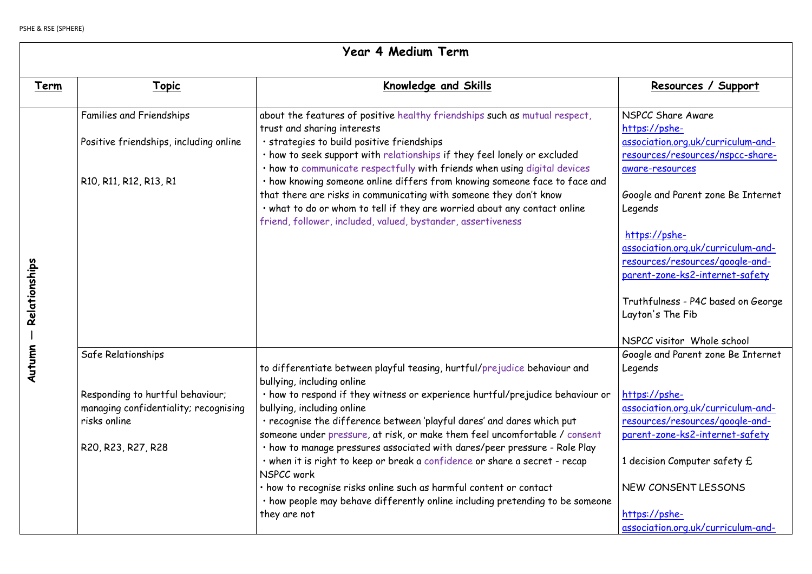NSPCC Share Aware [https://pshe](https://pshe-association.org.uk/curriculum-and-resources/resources/nspcc-share-aware-resources)[association.org.uk/curriculum-and](https://pshe-association.org.uk/curriculum-and-resources/resources/nspcc-share-aware-resources)[resources/resources/nspcc-share](https://pshe-association.org.uk/curriculum-and-resources/resources/nspcc-share-aware-resources)[aware-resources](https://pshe-association.org.uk/curriculum-and-resources/resources/nspcc-share-aware-resources)

Google and Parent zone Be Internet Legends

|                   | Year 4 Medium Term                                                                                                                    |                                                                                                                                                                                                                                                                                                                                                                                                                                                                                                                                                                                                                                                                                                                                |  |
|-------------------|---------------------------------------------------------------------------------------------------------------------------------------|--------------------------------------------------------------------------------------------------------------------------------------------------------------------------------------------------------------------------------------------------------------------------------------------------------------------------------------------------------------------------------------------------------------------------------------------------------------------------------------------------------------------------------------------------------------------------------------------------------------------------------------------------------------------------------------------------------------------------------|--|
| <u>Term</u>       | <u> Topic</u>                                                                                                                         | <u>Knowledge and Skills</u>                                                                                                                                                                                                                                                                                                                                                                                                                                                                                                                                                                                                                                                                                                    |  |
| Relationships     | <b>Families and Friendships</b><br>Positive friendships, including online<br>R10, R11, R12, R13, R1                                   | about the features of positive healthy friendships such as mutual respect,<br>trust and sharing interests<br>· strategies to build positive friendships<br>. how to seek support with relationships if they feel lonely or excluded<br>. how to communicate respectfully with friends when using digital devices<br>. how knowing someone online differs from knowing someone face to face and<br>that there are risks in communicating with someone they don't know<br>. what to do or whom to tell if they are worried about any contact online<br>friend, follower, included, valued, bystander, assertiveness                                                                                                              |  |
| <b>S</b><br>Autum | Safe Relationships<br>Responding to hurtful behaviour;<br>managing confidentiality; recognising<br>risks online<br>R20, R23, R27, R28 | to differentiate between playful teasing, hurtful/prejudice behaviour and<br>bullying, including online<br>. how to respond if they witness or experience hurtful/prejudice behaviour or<br>bullying, including online<br>· recognise the difference between 'playful dares' and dares which put<br>someone under pressure, at risk, or make them feel uncomfortable / consent<br>· how to manage pressures associated with dares/peer pressure - Role Play<br>. when it is right to keep or break a confidence or share a secret - recap<br>NSPCC work<br>. how to recognise risks online such as harmful content or contact<br>. how people may behave differently online including pretending to be someone<br>they are not |  |

# Resources / Support

[https://pshe](https://pshe-association.org.uk/curriculum-and-resources/resources/google-and-parent-zone-ks2-internet-safety)[association.org.uk/curriculum-and](https://pshe-association.org.uk/curriculum-and-resources/resources/google-and-parent-zone-ks2-internet-safety)[resources/resources/google-and](https://pshe-association.org.uk/curriculum-and-resources/resources/google-and-parent-zone-ks2-internet-safety)[parent-zone-ks2-internet-safety](https://pshe-association.org.uk/curriculum-and-resources/resources/google-and-parent-zone-ks2-internet-safety)

Truthfulness - P4C based on George Layton's The Fib

NSPCC visitor Whole school Google and Parent zone Be Internet Legends

[https://pshe](https://pshe-association.org.uk/curriculum-and-resources/resources/google-and-parent-zone-ks2-internet-safety)[association.org.uk/curriculum-and](https://pshe-association.org.uk/curriculum-and-resources/resources/google-and-parent-zone-ks2-internet-safety)[resources/resources/google-and](https://pshe-association.org.uk/curriculum-and-resources/resources/google-and-parent-zone-ks2-internet-safety)[parent-zone-ks2-internet-safety](https://pshe-association.org.uk/curriculum-and-resources/resources/google-and-parent-zone-ks2-internet-safety)

1 decision Computer safety £

NEW CONSENT LESSONS

[https://pshe](https://pshe-association.org.uk/curriculum-and-resources/resources/1decision-primary-pshe-education-resources)[association.org.uk/curriculum-and-](https://pshe-association.org.uk/curriculum-and-resources/resources/1decision-primary-pshe-education-resources)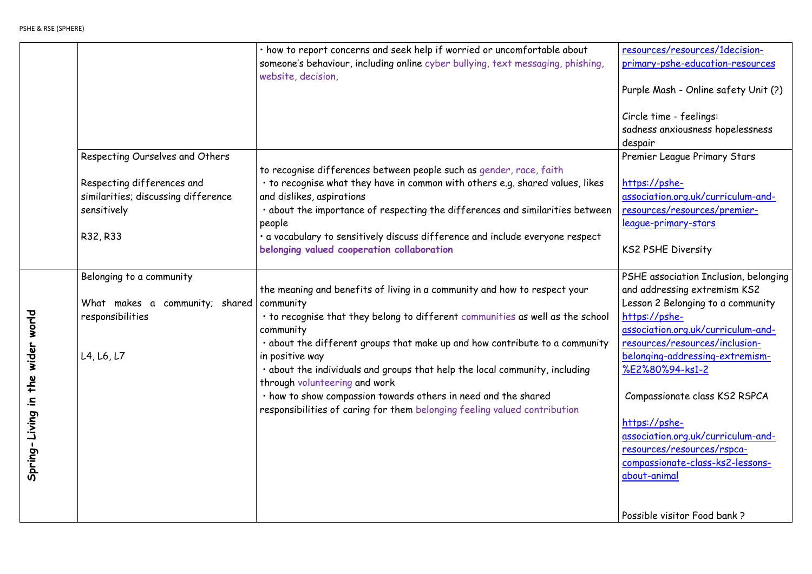[resources/resources/1decision](https://pshe-association.org.uk/curriculum-and-resources/resources/1decision-primary-pshe-education-resources)[primary-pshe-education-resources](https://pshe-association.org.uk/curriculum-and-resources/resources/1decision-primary-pshe-education-resources)

Purple Mash - Online safety Unit (?)

Circle time - feelings: sadness anxiousness hopelessness despair Premier League Primary Stars

|                                                              |                                                                                                                                 | . how to report concerns and seek help if worried or uncomfortable about<br>someone's behaviour, including online cyber bullying, text messaging, phishing,<br>website, decision,                                                                                                                                                                                                                                                                                                                                                                      |
|--------------------------------------------------------------|---------------------------------------------------------------------------------------------------------------------------------|--------------------------------------------------------------------------------------------------------------------------------------------------------------------------------------------------------------------------------------------------------------------------------------------------------------------------------------------------------------------------------------------------------------------------------------------------------------------------------------------------------------------------------------------------------|
|                                                              | Respecting Ourselves and Others<br>Respecting differences and<br>similarities; discussing difference<br>sensitively<br>R32, R33 | to recognise differences between people such as gender, race, faith<br>• to recognise what they have in common with others e.g. shared values, likes<br>and dislikes, aspirations<br>. about the importance of respecting the differences and similarities between<br>people<br>. a vocabulary to sensitively discuss difference and include everyone respect<br>belonging valued cooperation collaboration                                                                                                                                            |
| world<br>$\mathbf{L}$<br>widel<br>the<br>글.<br>Spring-Living | Belonging to a community<br>What makes a community; shared<br>responsibilities<br>L4, L6, L7                                    | the meaning and benefits of living in a community and how to respect your<br>community<br>. to recognise that they belong to different communities as well as the school<br>community<br>· about the different groups that make up and how contribute to a community<br>in positive way<br>. about the individuals and groups that help the local community, including<br>through volunteering and work<br>· how to show compassion towards others in need and the shared<br>responsibilities of caring for them belonging feeling valued contribution |

[https://pshe](https://pshe-association.org.uk/curriculum-and-resources/resources/premier-league-primary-stars)[association.org.uk/curriculum-and](https://pshe-association.org.uk/curriculum-and-resources/resources/premier-league-primary-stars)[resources/resources/premier](https://pshe-association.org.uk/curriculum-and-resources/resources/premier-league-primary-stars)[league-primary-stars](https://pshe-association.org.uk/curriculum-and-resources/resources/premier-league-primary-stars)

KS2 PSHE Diversity

PSHE association Inclusion, belonging and addressing extremism KS2 Lesson 2 Belonging to a community [https://pshe](https://pshe-association.org.uk/curriculum-and-resources/resources/inclusion-belonging-addressing-extremism-%E2%80%94-ks1-2)[association.org.uk/curriculum-and](https://pshe-association.org.uk/curriculum-and-resources/resources/inclusion-belonging-addressing-extremism-%E2%80%94-ks1-2)[resources/resources/inclusion](https://pshe-association.org.uk/curriculum-and-resources/resources/inclusion-belonging-addressing-extremism-%E2%80%94-ks1-2)[belonging-addressing-extremism-](https://pshe-association.org.uk/curriculum-and-resources/resources/inclusion-belonging-addressing-extremism-%E2%80%94-ks1-2) [%E2%80%94-ks1-2](https://pshe-association.org.uk/curriculum-and-resources/resources/inclusion-belonging-addressing-extremism-%E2%80%94-ks1-2)

Compassionate class KS2 RSPCA

[https://pshe](https://pshe-association.org.uk/curriculum-and-resources/resources/rspca-compassionate-class-ks2-lessons-about-animal)[association.org.uk/curriculum-and](https://pshe-association.org.uk/curriculum-and-resources/resources/rspca-compassionate-class-ks2-lessons-about-animal)[resources/resources/rspca](https://pshe-association.org.uk/curriculum-and-resources/resources/rspca-compassionate-class-ks2-lessons-about-animal)[compassionate-class-ks2-lessons](https://pshe-association.org.uk/curriculum-and-resources/resources/rspca-compassionate-class-ks2-lessons-about-animal)[about-animal](https://pshe-association.org.uk/curriculum-and-resources/resources/rspca-compassionate-class-ks2-lessons-about-animal)

Possible visitor Food bank ?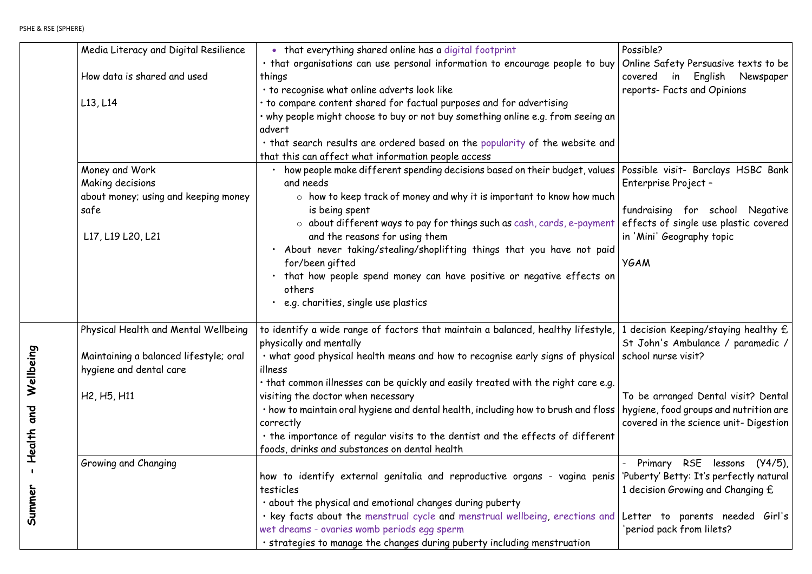|                          | Media Literacy and Digital Resilience             | • that everything shared online has a digital footprint                                                                                   |
|--------------------------|---------------------------------------------------|-------------------------------------------------------------------------------------------------------------------------------------------|
|                          |                                                   | . that organisations can use personal information to encourage people to buy                                                              |
|                          | How data is shared and used                       | things                                                                                                                                    |
|                          |                                                   | . to recognise what online adverts look like                                                                                              |
|                          | $L$ 13, $L$ 14                                    | . to compare content shared for factual purposes and for advertising                                                                      |
|                          |                                                   | . why people might choose to buy or not buy something online e.g. from seeing an                                                          |
|                          |                                                   | advert                                                                                                                                    |
|                          |                                                   | . that search results are ordered based on the popularity of the website and                                                              |
|                          |                                                   | that this can affect what information people access                                                                                       |
|                          | Money and Work                                    | how people make different spending decisions based on their budget, values                                                                |
|                          | Making decisions                                  | and needs                                                                                                                                 |
|                          | about money; using and keeping money              | $\circ$ how to keep track of money and why it is important to know how much                                                               |
|                          | safe                                              | is being spent                                                                                                                            |
|                          |                                                   | $\circ$ about different ways to pay for things such as cash, cards, e-payment                                                             |
|                          | L17, L19 L20, L21                                 | and the reasons for using them                                                                                                            |
|                          |                                                   | . About never taking/stealing/shoplifting things that you have not paid                                                                   |
|                          |                                                   | for/been gifted                                                                                                                           |
|                          |                                                   | . that how people spend money can have positive or negative effects on                                                                    |
|                          |                                                   | others                                                                                                                                    |
|                          |                                                   | e.g. charities, single use plastics                                                                                                       |
|                          |                                                   |                                                                                                                                           |
|                          | Physical Health and Mental Wellbeing              | to identify a wide range of factors that maintain a balanced, healthy lifestyle,                                                          |
|                          |                                                   | physically and mentally                                                                                                                   |
|                          | Maintaining a balanced lifestyle; oral            | . what good physical health means and how to recognise early signs of physical                                                            |
|                          | hygiene and dental care                           | illness                                                                                                                                   |
| Wellbeing                |                                                   | . that common illnesses can be quickly and easily treated with the right care e.g.                                                        |
|                          | H <sub>2</sub> , H <sub>5</sub> , H <sub>11</sub> | visiting the doctor when necessary                                                                                                        |
|                          |                                                   | . how to maintain oral hygiene and dental health, including how to brush and floss                                                        |
|                          |                                                   | correctly                                                                                                                                 |
|                          |                                                   | $\cdot$ the importance of regular visits to the dentist and the effects of different                                                      |
| Health and               |                                                   | foods, drinks and substances on dental health                                                                                             |
| $\overline{\phantom{a}}$ | Growing and Changing                              |                                                                                                                                           |
|                          |                                                   | how to identify external genitalia and reproductive organs - vagina penis<br>testicles                                                    |
|                          |                                                   |                                                                                                                                           |
| Summer                   |                                                   | . about the physical and emotional changes during puberty<br>. Key facts about the menstrual cycle and menstrual wellbeing, erections and |
|                          |                                                   | wet dreams - ovaries womb periods egg sperm                                                                                               |
|                          |                                                   | · strategies to manage the changes during puberty including menstruation                                                                  |
|                          |                                                   |                                                                                                                                           |

|                  | Possible?<br>Online Safety Persuasive texts to be<br>covered in English Newspaper                                                                                                  |
|------------------|------------------------------------------------------------------------------------------------------------------------------------------------------------------------------------|
| ł                | reports- Facts and Opinions                                                                                                                                                        |
| 5<br>J<br>h<br>ł | Possible visit- Barclays HSBC Bank<br>Enterprise Project -<br>fundraising for school Negative<br>effects of single use plastic covered<br>in 'Mini' Geography topic<br><b>YGAM</b> |
|                  | 1 decision Keeping/staying healthy £<br>St John's Ambulance / paramedic /<br>school nurse visit?                                                                                   |
|                  | To be arranged Dental visit? Dental<br>hygiene, food groups and nutrition are<br>covered in the science unit- Digestion                                                            |
|                  | Primary RSE lessons (Y4/5),<br>'Puberty' Betty: It's perfectly natural<br>1 decision Growing and Changing £                                                                        |
| l                | Girl's<br>Letter to parents needed<br>'period pack from lilets?                                                                                                                    |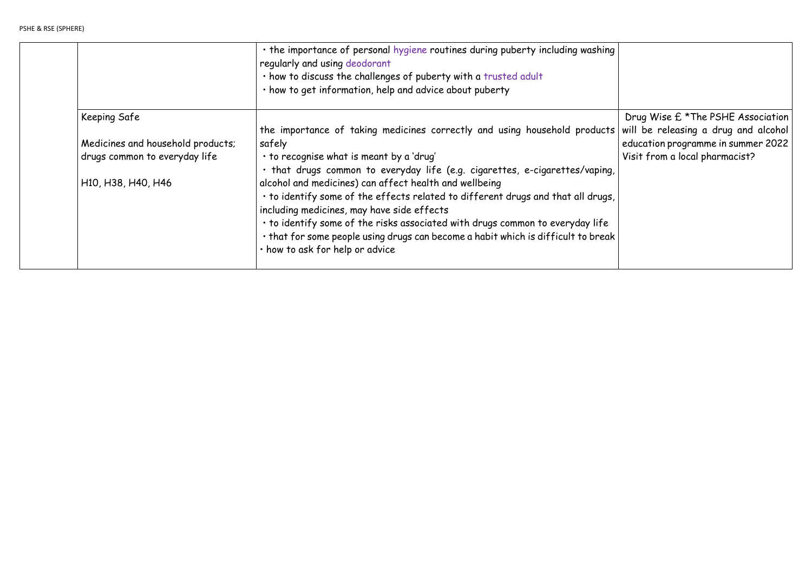|                                   | . the importance of personal hygiene routines during puberty including washing<br>regularly and using deodorant<br>. how to discuss the challenges of puberty with a trusted adult<br>· how to get information, help and advice about puberty                                                                                                                                                     |                                                                           |
|-----------------------------------|---------------------------------------------------------------------------------------------------------------------------------------------------------------------------------------------------------------------------------------------------------------------------------------------------------------------------------------------------------------------------------------------------|---------------------------------------------------------------------------|
| <b>Keeping Safe</b>               | the importance of taking medicines correctly and using household products                                                                                                                                                                                                                                                                                                                         | Drug Wise £ *The PSHE Association<br>will be releasing a drug and alcohol |
| Medicines and household products; | safely                                                                                                                                                                                                                                                                                                                                                                                            | education programme in summer 2022                                        |
| drugs common to everyday life     | · to recognise what is meant by a 'drug'<br>· that drugs common to everyday life (e.g. cigarettes, e-cigarettes/vaping,                                                                                                                                                                                                                                                                           | Visit from a local pharmacist?                                            |
| H10, H38, H40, H46                | alcohol and medicines) can affect health and wellbeing<br>· to identify some of the effects related to different drugs and that all drugs,<br>including medicines, may have side effects<br>. to identify some of the risks associated with drugs common to everyday life<br>. that for some people using drugs can become a habit which is difficult to break<br>· how to ask for help or advice |                                                                           |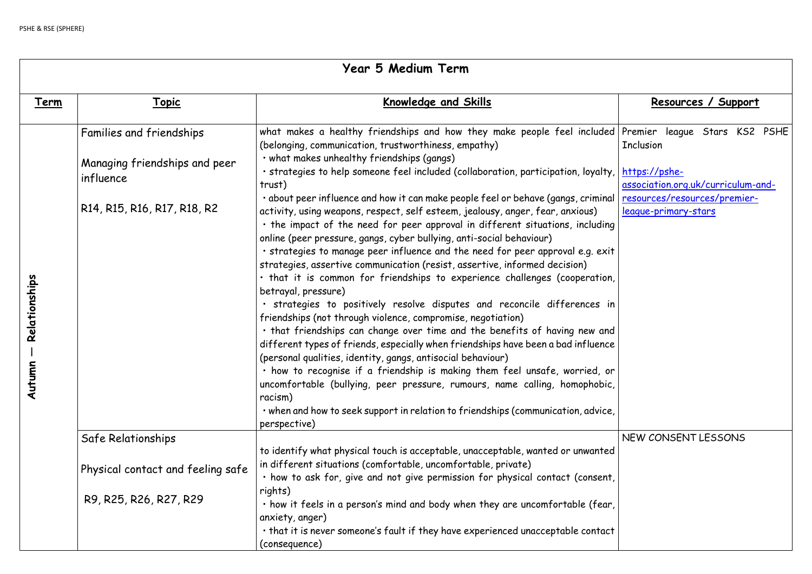|               | Year 5 Medium Term                         |                                                                                                                                                                                                                                                                                                                                                                                                                                                                                                                                                                                                                                                                                                                                                                                                                                                                                                                  |                                                      |
|---------------|--------------------------------------------|------------------------------------------------------------------------------------------------------------------------------------------------------------------------------------------------------------------------------------------------------------------------------------------------------------------------------------------------------------------------------------------------------------------------------------------------------------------------------------------------------------------------------------------------------------------------------------------------------------------------------------------------------------------------------------------------------------------------------------------------------------------------------------------------------------------------------------------------------------------------------------------------------------------|------------------------------------------------------|
| <u>Term</u>   | <u>Topic</u>                               | Knowledge and Skills                                                                                                                                                                                                                                                                                                                                                                                                                                                                                                                                                                                                                                                                                                                                                                                                                                                                                             | Resources / Support                                  |
|               | Families and friendships                   | what makes a healthy friendships and how they make people feel included Premier  league  Stars  KS2<br>(belonging, communication, trustworthiness, empathy)                                                                                                                                                                                                                                                                                                                                                                                                                                                                                                                                                                                                                                                                                                                                                      | <b>Inclusion</b>                                     |
|               | Managing friendships and peer<br>influence | · what makes unhealthy friendships (gangs)<br>· strategies to help someone feel included (collaboration, participation, loyalty,<br>trust)                                                                                                                                                                                                                                                                                                                                                                                                                                                                                                                                                                                                                                                                                                                                                                       | https://pshe-<br>association.org.uk/curriculum-ar    |
| Relationships | R14, R15, R16, R17, R18, R2                | · about peer influence and how it can make people feel or behave (gangs, criminal)<br>activity, using weapons, respect, self esteem, jealousy, anger, fear, anxious)<br>. the impact of the need for peer approval in different situations, including<br>online (peer pressure, gangs, cyber bullying, anti-social behaviour)<br>· strategies to manage peer influence and the need for peer approval e.g. exit<br>strategies, assertive communication (resist, assertive, informed decision)<br>· that it is common for friendships to experience challenges (cooperation,<br>betrayal, pressure)<br>· strategies to positively resolve disputes and reconcile differences in<br>friendships (not through violence, compromise, negotiation)<br>. that friendships can change over time and the benefits of having new and<br>different types of friends, especially when friendships have been a bad influence | resources/resources/premier-<br>league-primary-stars |
| Autumn        |                                            | (personal qualities, identity, gangs, antisocial behaviour)<br>· how to recognise if a friendship is making them feel unsafe, worried, or<br>uncomfortable (bullying, peer pressure, rumours, name calling, homophobic,<br>racism)<br>· when and how to seek support in relation to friendships (communication, advice,<br>perspective)                                                                                                                                                                                                                                                                                                                                                                                                                                                                                                                                                                          |                                                      |
|               | Safe Relationships                         |                                                                                                                                                                                                                                                                                                                                                                                                                                                                                                                                                                                                                                                                                                                                                                                                                                                                                                                  | NEW CONSENT LESSONS                                  |
|               | Physical contact and feeling safe          | to identify what physical touch is acceptable, unacceptable, wanted or unwanted<br>in different situations (comfortable, uncomfortable, private)<br>· how to ask for, give and not give permission for physical contact (consent,                                                                                                                                                                                                                                                                                                                                                                                                                                                                                                                                                                                                                                                                                |                                                      |
|               | R9, R25, R26, R27, R29                     | rights)<br>· how it feels in a person's mind and body when they are uncomfortable (fear,<br>anxiety, anger)<br>· that it is never someone's fault if they have experienced unacceptable contact                                                                                                                                                                                                                                                                                                                                                                                                                                                                                                                                                                                                                                                                                                                  |                                                      |
|               |                                            | (consequence)                                                                                                                                                                                                                                                                                                                                                                                                                                                                                                                                                                                                                                                                                                                                                                                                                                                                                                    |                                                      |

|                               | <u>Resources / Support</u>                                  |
|-------------------------------|-------------------------------------------------------------|
| ł                             | Premier league Stars KS2 PSHE<br><b>Inclusion</b>           |
| ,                             | <u>https://pshe-</u><br>association.org.uk/curriculum-and-  |
| I                             | resources/resources/premier-<br><u>league-primary-stars</u> |
| J                             |                                                             |
|                               |                                                             |
| ,                             |                                                             |
| ٦                             |                                                             |
| l<br>$\overline{\phantom{a}}$ |                                                             |
| n                             |                                                             |
|                               |                                                             |
| ,                             |                                                             |
| l                             | NEW CONSENT LESSONS                                         |
| ,                             |                                                             |
| ,                             |                                                             |
|                               |                                                             |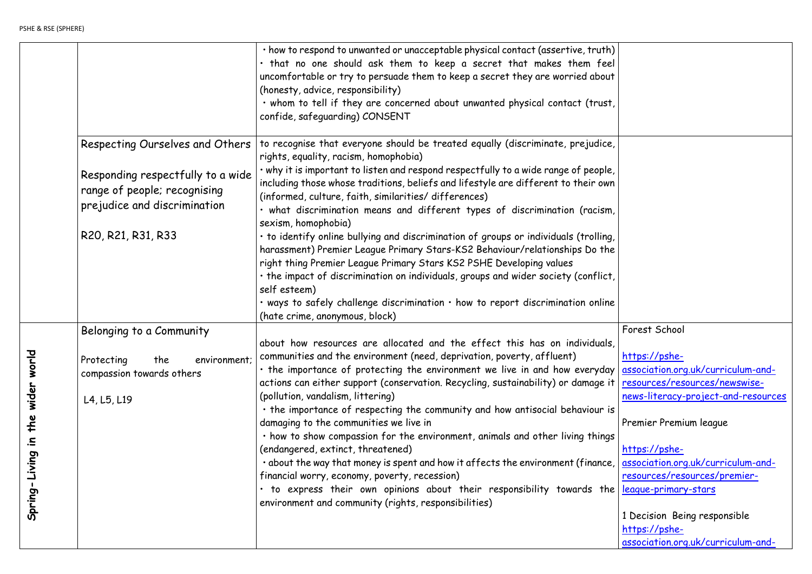|                               |                                                                               | · how to respond to unwanted or unacceptable physical contact (assertive, truth)<br>· that no one should ask them to keep a secret that makes them feel<br>uncomfortable or try to persuade them to keep a secret they are worried about<br>(honesty, advice, responsibility)<br>. whom to tell if they are concerned about unwanted physical contact (trust,<br>confide, safeguarding) CONSENT |
|-------------------------------|-------------------------------------------------------------------------------|-------------------------------------------------------------------------------------------------------------------------------------------------------------------------------------------------------------------------------------------------------------------------------------------------------------------------------------------------------------------------------------------------|
|                               | Respecting Ourselves and Others                                               | to recognise that everyone should be treated equally (discriminate, prejudice,<br>rights, equality, racism, homophobia)                                                                                                                                                                                                                                                                         |
|                               | Responding respectfully to a wide<br>range of people; recognising             | . why it is important to listen and respond respectfully to a wide range of people,<br>including those whose traditions, beliefs and lifestyle are different to their own<br>(informed, culture, faith, similarities/ differences)                                                                                                                                                              |
|                               | prejudice and discrimination                                                  | · what discrimination means and different types of discrimination (racism,<br>sexism, homophobia)                                                                                                                                                                                                                                                                                               |
|                               | R20, R21, R31, R33                                                            | · to identify online bullying and discrimination of groups or individuals (trolling,<br>harassment) Premier League Primary Stars-KS2 Behaviour/relationships Do the<br>right thing Premier League Primary Stars KS2 PSHE Developing values<br>. the impact of discrimination on individuals, groups and wider society (conflict,                                                                |
|                               |                                                                               | self esteem)<br>. ways to safely challenge discrimination . how to report discrimination online<br>(hate crime, anonymous, block)                                                                                                                                                                                                                                                               |
|                               | Belonging to a Community                                                      |                                                                                                                                                                                                                                                                                                                                                                                                 |
| the wider world               | Protecting<br>the<br>environment;<br>compassion towards others<br>L4, L5, L19 | about how resources are allocated and the effect this has on individuals,<br>communities and the environment (need, deprivation, poverty, affluent)<br>. the importance of protecting the environment we live in and how everyday<br>actions can either support (conservation. Recycling, sustainability) or damage it<br>(pollution, vandalism, littering)                                     |
|                               |                                                                               | . the importance of respecting the community and how antisocial behaviour is<br>damaging to the communities we live in<br>. how to show compassion for the environment, animals and other living things                                                                                                                                                                                         |
| $\mathbf{a}$<br>Spring-Living |                                                                               | (endangered, extinct, threatened)<br>. about the way that money is spent and how it affects the environment (finance,<br>financial worry, economy, poverty, recession)<br>. to express their own opinions about their responsibility towards the                                                                                                                                                |
|                               |                                                                               | environment and community (rights, responsibilities)                                                                                                                                                                                                                                                                                                                                            |

| t                        |                                            |
|--------------------------|--------------------------------------------|
|                          |                                            |
|                          |                                            |
|                          |                                            |
| 7                        |                                            |
|                          |                                            |
| ,                        |                                            |
|                          |                                            |
| ζ                        |                                            |
|                          |                                            |
| $\overline{\phantom{a}}$ |                                            |
|                          |                                            |
|                          | Forest School                              |
| ,                        | https://pshe-                              |
| Í                        | association.org.uk/curriculum-and-         |
| t                        | <u>resources/resources/newswise-</u>       |
|                          | <u>news-literacy-project-and-resources</u> |
| s                        |                                            |
|                          | Premier Premium league                     |
| s                        |                                            |
|                          | <u>https://pshe-</u>                       |
| $\overline{\phantom{a}}$ | <u>association.org.uk/curriculum-and-</u>  |
|                          | <u>resources/resources/premier-</u>        |
| 2                        | <u>league-primary-stars</u>                |
|                          | 1 Decision Being responsible               |
|                          | <u>https://pshe-</u>                       |
|                          | <u>association.org.uk/curriculum-and-</u>  |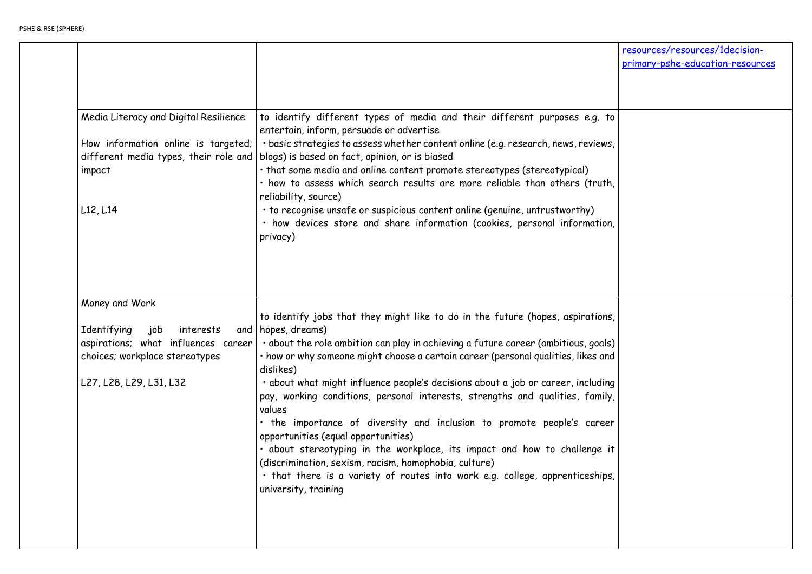|                  | resources/resources/1decision-   |  |  |
|------------------|----------------------------------|--|--|
|                  | primary-pshe-education-resources |  |  |
|                  |                                  |  |  |
|                  |                                  |  |  |
| J                |                                  |  |  |
|                  |                                  |  |  |
| ,                |                                  |  |  |
|                  |                                  |  |  |
| $\cdot$          |                                  |  |  |
|                  |                                  |  |  |
|                  |                                  |  |  |
| $\mathbf{\cdot}$ |                                  |  |  |
|                  |                                  |  |  |
|                  |                                  |  |  |
|                  |                                  |  |  |
|                  |                                  |  |  |
| ,                |                                  |  |  |
|                  |                                  |  |  |
| ١                |                                  |  |  |
| l                |                                  |  |  |
| J                |                                  |  |  |
| ,                |                                  |  |  |
|                  |                                  |  |  |
|                  |                                  |  |  |
|                  |                                  |  |  |
|                  |                                  |  |  |
| ı                |                                  |  |  |
|                  |                                  |  |  |
|                  |                                  |  |  |
|                  |                                  |  |  |
|                  |                                  |  |  |

| Media Literacy and Digital Resilience<br>How information online is targeted;<br>different media types, their role and<br>impact<br>L12, L14 | to identify different types of media and their different purposes e.g. to<br>entertain, inform, persuade or advertise<br>· basic strategies to assess whether content online (e.g. research, news, reviews,<br>blogs) is based on fact, opinion, or is biased<br>. that some media and online content promote stereotypes (stereotypical)<br>· how to assess which search results are more reliable than others (truth,<br>reliability, source)<br>• to recognise unsafe or suspicious content online (genuine, untrustworthy)<br>· how devices store and share information (cookies, personal information,<br>privacy)                                                                                                                                                                                                                                                                   |
|---------------------------------------------------------------------------------------------------------------------------------------------|-------------------------------------------------------------------------------------------------------------------------------------------------------------------------------------------------------------------------------------------------------------------------------------------------------------------------------------------------------------------------------------------------------------------------------------------------------------------------------------------------------------------------------------------------------------------------------------------------------------------------------------------------------------------------------------------------------------------------------------------------------------------------------------------------------------------------------------------------------------------------------------------|
| Money and Work<br>Identifying<br>job<br>interests<br>choices; workplace stereotypes<br>L27, L28, L29, L31, L32                              | to identify jobs that they might like to do in the future (hopes, aspirations,<br>and $ $ hopes, dreams)<br>aspirations; what influences career $ \cdot$ about the role ambition can play in achieving a future career (ambitious, goals)<br>· how or why someone might choose a certain career (personal qualities, likes and<br>dislikes)<br>· about what might influence people's decisions about a job or career, including<br>pay, working conditions, personal interests, strengths and qualities, family,<br>values<br>. the importance of diversity and inclusion to promote people's career<br>opportunities (equal opportunities)<br>. about stereotyping in the workplace, its impact and how to challenge it<br>(discrimination, sexism, racism, homophobia, culture)<br>. that there is a variety of routes into work e.g. college, apprenticeships,<br>university, training |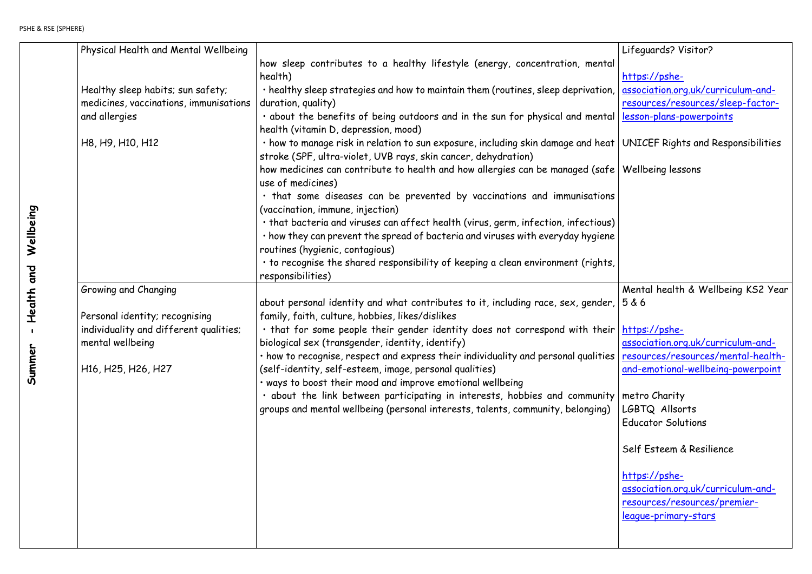| Physical Health and Mental Wellbeing                                        |                                                                                                                                                                                                          |
|-----------------------------------------------------------------------------|----------------------------------------------------------------------------------------------------------------------------------------------------------------------------------------------------------|
|                                                                             | how sleep contributes to a healthy lifestyle (energy, concentration, mental<br>health)                                                                                                                   |
| Healthy sleep habits; sun safety;<br>medicines, vaccinations, immunisations | · healthy sleep strategies and how to maintain them (routines, sleep deprivation,<br>duration, quality)                                                                                                  |
| and allergies                                                               | . about the benefits of being outdoors and in the sun for physical and mental<br>health (vitamin D, depression, mood)                                                                                    |
| H8, H9, H10, H12                                                            | · how to manage risk in relation to sun exposure, including skin damage and heat<br>stroke (SPF, ultra-violet, UVB rays, skin cancer, dehydration)                                                       |
|                                                                             | how medicines can contribute to health and how allergies can be managed (safe<br>use of medicines)                                                                                                       |
|                                                                             | . that some diseases can be prevented by vaccinations and immunisations<br>(vaccination, immune, injection)                                                                                              |
|                                                                             | • that bacteria and viruses can affect health (virus, germ, infection, infectious)<br>. how they can prevent the spread of bacteria and viruses with everyday hygiene<br>routines (hygienic, contagious) |
|                                                                             | . to recognise the shared responsibility of keeping a clean environment (rights,<br>responsibilities)                                                                                                    |
| Growing and Changing                                                        |                                                                                                                                                                                                          |
|                                                                             | about personal identity and what contributes to it, including race, sex, gender,                                                                                                                         |
| Personal identity; recognising<br>individuality and different qualities;    | family, faith, culture, hobbies, likes/dislikes<br>. that for some people their gender identity does not correspond with their                                                                           |
| mental wellbeing                                                            | biological sex (transgender, identity, identify)                                                                                                                                                         |
| H16, H25, H26, H27                                                          | . how to recognise, respect and express their individuality and personal qualities<br>(self-identity, self-esteem, image, personal qualities)                                                            |
|                                                                             | . ways to boost their mood and improve emotional wellbeing                                                                                                                                               |
|                                                                             | . about the link between participating in interests, hobbies and community<br>groups and mental wellbeing (personal interests, talents, community, belonging)                                            |
|                                                                             |                                                                                                                                                                                                          |
|                                                                             |                                                                                                                                                                                                          |
|                                                                             |                                                                                                                                                                                                          |
|                                                                             |                                                                                                                                                                                                          |
|                                                                             |                                                                                                                                                                                                          |
|                                                                             |                                                                                                                                                                                                          |
|                                                                             |                                                                                                                                                                                                          |

| I                        | Lifeguards? Visitor?                      |
|--------------------------|-------------------------------------------|
|                          | <u>https://pshe-</u>                      |
| $\mathbf{r}$             | <u>association.org.uk/curriculum-and-</u> |
|                          | <u>resources/resources/sleep-factor-</u>  |
| I                        | <u>lesson-plans-powerpoints</u>           |
|                          | UNICEF Rights and Responsibilities        |
| $\overline{\phantom{a}}$ | Wellbeing lessons                         |
| S                        |                                           |
|                          |                                           |
| $\overline{\phantom{a}}$ |                                           |
|                          |                                           |
| ,                        |                                           |
|                          | Mental health & Wellbeing KS2 Year        |
| ,                        | 5 & 6                                     |
| ŋ                        | <u> https://pshe-</u>                     |
|                          | <u>association.org.uk/curriculum-and-</u> |
| S                        | <u>resources/resources/mental-health-</u> |
|                          | and-emotional-wellbeing-powerpoint        |
|                          | metro Charity                             |
|                          | LGBTQ Allsorts                            |
|                          | <b>Educator Solutions</b>                 |
|                          | Self Esteem & Resilience                  |
|                          | <u>https://pshe-</u>                      |
|                          | <u>association.org.uk/curriculum-and-</u> |
|                          | <u>resources/resources/premier-</u>       |
|                          | <u>league-primary-stars</u>               |
|                          |                                           |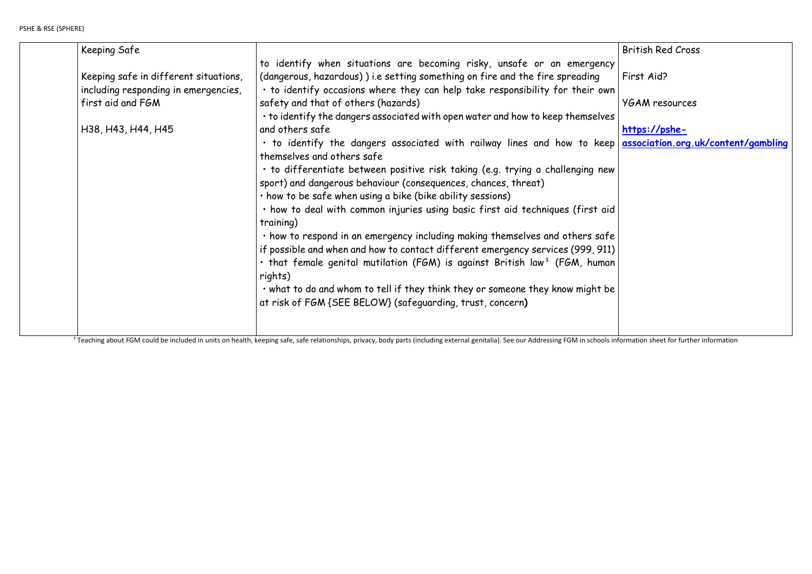| Keeping Safe                          |                                                                                              |
|---------------------------------------|----------------------------------------------------------------------------------------------|
|                                       | to identify when situations are becoming risky, unsafe or an emergency                       |
| Keeping safe in different situations, | (dangerous, hazardous)) i.e setting something on fire and the fire spreading                 |
| including responding in emergencies,  | · to identify occasions where they can help take responsibility for their own                |
| first aid and FGM                     | safety and that of others (hazards)                                                          |
|                                       | • to identify the dangers associated with open water and how to keep themselves              |
| H38, H43, H44, H45                    | and others safe                                                                              |
|                                       | . to identify the dangers associated with railway lines and how to keep                      |
|                                       | themselves and others safe                                                                   |
|                                       | · to differentiate between positive risk taking (e.g. trying a challenging new               |
|                                       | sport) and dangerous behaviour (consequences, chances, threat)                               |
|                                       | · how to be safe when using a bike (bike ability sessions)                                   |
|                                       | . how to deal with common injuries using basic first aid techniques (first aid               |
|                                       | training)                                                                                    |
|                                       | . how to respond in an emergency including making themselves and others safe                 |
|                                       | if possible and when and how to contact different emergency services (999, 911)              |
|                                       | $\cdot$ that female genital mutilation (FGM) is against British law <sup>1</sup> (FGM, human |
|                                       | rights)                                                                                      |
|                                       | . what to do and whom to tell if they think they or someone they know might be               |
|                                       | at risk of FGM {SEE BELOW} (safeguarding, trust, concern)                                    |
|                                       |                                                                                              |
|                                       |                                                                                              |
|                                       |                                                                                              |

<sup>1</sup> Teaching about FGM could be included in units on health, keeping safe, safe relationships, privacy, body parts (including external genitalia). See our Addressing FGM in schools information sheet for further information

|                          | <b>British Red Cross</b>            |
|--------------------------|-------------------------------------|
| I                        |                                     |
|                          | First Aid?                          |
| ١                        |                                     |
|                          | <b>YGAM resources</b>               |
| ;                        |                                     |
|                          | https://pshe-                       |
| J                        | association.org.uk/content/gambling |
|                          |                                     |
| I                        |                                     |
|                          |                                     |
|                          |                                     |
| l                        |                                     |
|                          |                                     |
| $\overline{\phantom{a}}$ |                                     |
| )<br>1                   |                                     |
|                          |                                     |
| $\overline{\phantom{a}}$ |                                     |
|                          |                                     |
|                          |                                     |
|                          |                                     |
|                          |                                     |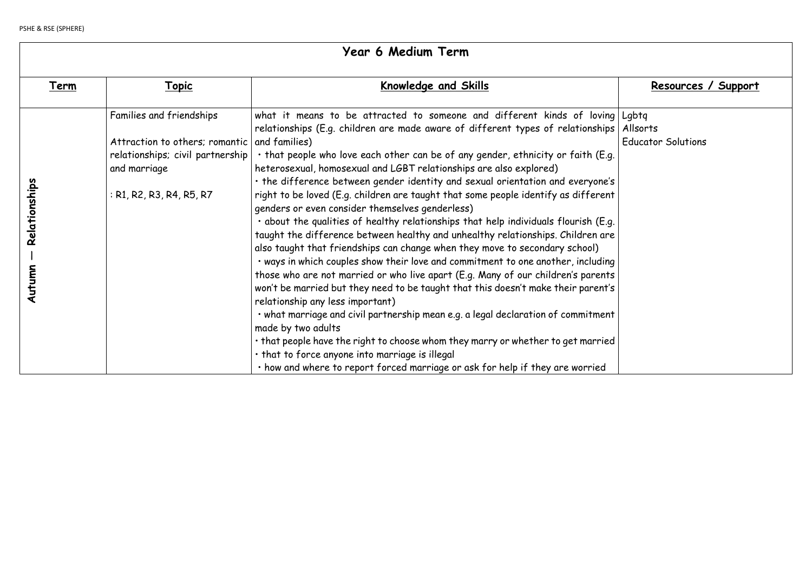| Year 6 Medium Term                                                                                                                         |                                                                                                                                                                                                                                                                                                                                                                                                                                                                                                                                                                                                                                                                                                                                                                                                                                                                                                                                                                                                                                                                                                                                                                                                                                                                                                                                                                                     |                                                                               |  |
|--------------------------------------------------------------------------------------------------------------------------------------------|-------------------------------------------------------------------------------------------------------------------------------------------------------------------------------------------------------------------------------------------------------------------------------------------------------------------------------------------------------------------------------------------------------------------------------------------------------------------------------------------------------------------------------------------------------------------------------------------------------------------------------------------------------------------------------------------------------------------------------------------------------------------------------------------------------------------------------------------------------------------------------------------------------------------------------------------------------------------------------------------------------------------------------------------------------------------------------------------------------------------------------------------------------------------------------------------------------------------------------------------------------------------------------------------------------------------------------------------------------------------------------------|-------------------------------------------------------------------------------|--|
| <u> Topic</u>                                                                                                                              | <b>Knowledge and Skills</b>                                                                                                                                                                                                                                                                                                                                                                                                                                                                                                                                                                                                                                                                                                                                                                                                                                                                                                                                                                                                                                                                                                                                                                                                                                                                                                                                                         | Resources / Support                                                           |  |
| Families and friendships<br>Attraction to others; romantic<br>relationships; civil partnership<br>and marriage<br>: R1, R2, R3, R4, R5, R7 | what it means to be attracted to someone and different kinds of loving   Lgbtg<br>relationships (E.g. children are made aware of different types of relationships<br>and families)<br>. that people who love each other can be of any gender, ethnicity or faith (E.g.<br>heterosexual, homosexual and LGBT relationships are also explored)<br>. the difference between gender identity and sexual orientation and everyone's<br>right to be loved (E.g. children are taught that some people identify as different<br>genders or even consider themselves genderless)<br>. about the qualities of healthy relationships that help individuals flourish (E.g.<br>taught the difference between healthy and unhealthy relationships. Children are<br>also taught that friendships can change when they move to secondary school)<br>. ways in which couples show their love and commitment to one another, including<br>those who are not married or who live apart (E.g. Many of our children's parents<br>won't be married but they need to be taught that this doesn't make their parent's<br>relationship any less important)<br>. what marriage and civil partnership mean e.g. a legal declaration of commitment<br>made by two adults<br>. that people have the right to choose whom they marry or whether to get married<br>. that to force anyone into marriage is illegal | <b>Allsorts</b><br><b>Educator Solutions</b>                                  |  |
|                                                                                                                                            |                                                                                                                                                                                                                                                                                                                                                                                                                                                                                                                                                                                                                                                                                                                                                                                                                                                                                                                                                                                                                                                                                                                                                                                                                                                                                                                                                                                     | . how and where to report forced marriage or ask for help if they are worried |  |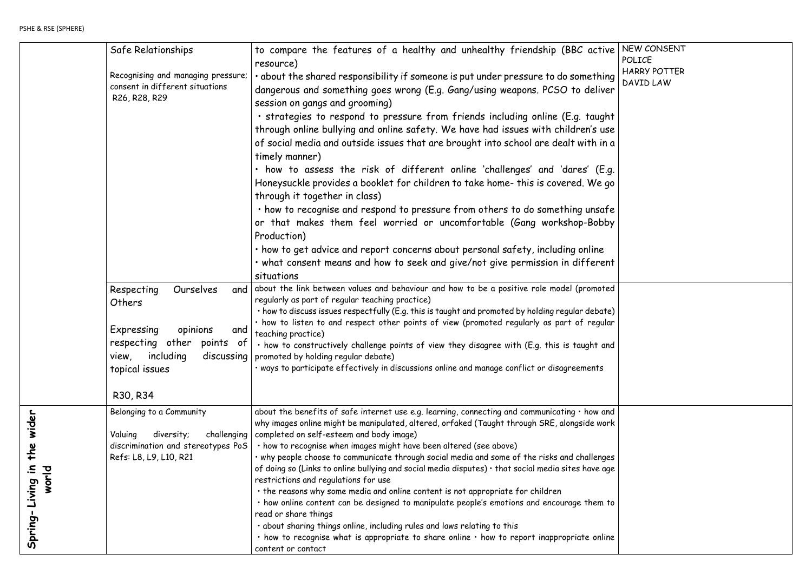| $\overline{\mathbf{S}}$       | NEW CONSENT<br>POLICE |
|-------------------------------|-----------------------|
|                               | <b>HARRY POTTER</b>   |
| 3<br>$\overline{\phantom{0}}$ | DAVID LAW             |
|                               |                       |
| t                             |                       |
| $\overline{\mathbf{c}}$       |                       |
| 1                             |                       |
|                               |                       |
| $\ddot{\phantom{0}}$          |                       |
| $\mathfrak{c}$                |                       |
|                               |                       |
| $\overline{\mathbf{c}}$       |                       |
| $\overline{\prime}$           |                       |
|                               |                       |
|                               |                       |
| t                             |                       |
| Ł                             |                       |
|                               |                       |
| $\big)$                       |                       |
| r                             |                       |
| Ł                             |                       |
|                               |                       |
|                               |                       |
|                               |                       |
|                               |                       |
| Ł<br>k                        |                       |
|                               |                       |
|                               |                       |
| s                             |                       |
| $\overline{\mathbf{c}}$       |                       |
|                               |                       |
| $\circ$                       |                       |
|                               |                       |
| $\overline{\mathbf{c}}$       |                       |
|                               |                       |

|                                              | Safe Relationships                                                                                                            | to compare the features of a healthy and unhealthy friendship (BBC active<br>resource)                                                                                                                                                                                                                                                                                                                                                                                                                                                                                                                                                                                                                                                                                                                                                                                                                                                                                       |
|----------------------------------------------|-------------------------------------------------------------------------------------------------------------------------------|------------------------------------------------------------------------------------------------------------------------------------------------------------------------------------------------------------------------------------------------------------------------------------------------------------------------------------------------------------------------------------------------------------------------------------------------------------------------------------------------------------------------------------------------------------------------------------------------------------------------------------------------------------------------------------------------------------------------------------------------------------------------------------------------------------------------------------------------------------------------------------------------------------------------------------------------------------------------------|
|                                              | Recognising and managing pressure;<br>consent in different situations<br>R26, R28, R29                                        | • about the shared responsibility if someone is put under pressure to do something<br>dangerous and something goes wrong (E.g. Gang/using weapons. PCSO to deliver<br>session on gangs and grooming)                                                                                                                                                                                                                                                                                                                                                                                                                                                                                                                                                                                                                                                                                                                                                                         |
|                                              |                                                                                                                               | · strategies to respond to pressure from friends including online (E.g. taught<br>through online bullying and online safety. We have had issues with children's use<br>of social media and outside issues that are brought into school are dealt with in a<br>timely manner)                                                                                                                                                                                                                                                                                                                                                                                                                                                                                                                                                                                                                                                                                                 |
|                                              |                                                                                                                               | $\cdot$ how to assess the risk of different online 'challenges' and 'dares' (E.g.<br>Honeysuckle provides a booklet for children to take home- this is covered. We go<br>through it together in class)                                                                                                                                                                                                                                                                                                                                                                                                                                                                                                                                                                                                                                                                                                                                                                       |
|                                              |                                                                                                                               | • how to recognise and respond to pressure from others to do something unsafe<br>or that makes them feel worried or uncomfortable (Gang workshop-Bobby<br>Production)                                                                                                                                                                                                                                                                                                                                                                                                                                                                                                                                                                                                                                                                                                                                                                                                        |
|                                              |                                                                                                                               | • how to get advice and report concerns about personal safety, including online<br>• what consent means and how to seek and give/not give permission in different<br>situations                                                                                                                                                                                                                                                                                                                                                                                                                                                                                                                                                                                                                                                                                                                                                                                              |
|                                              | Respecting<br>Ourselves<br>Others<br>Expressing<br>opinions<br>and                                                            | and about the link between values and behaviour and how to be a positive role model (promoted<br>regularly as part of regular teaching practice)<br>· how to discuss issues respectfully (E.g. this is taught and promoted by holding regular debate)<br>· how to listen to and respect other points of view (promoted regularly as part of regular<br>teaching practice)                                                                                                                                                                                                                                                                                                                                                                                                                                                                                                                                                                                                    |
|                                              | respecting other points<br>$of \vert$<br>including<br>view,<br>topical issues                                                 | . how to constructively challenge points of view they disagree with (E.g. this is taught and<br>discussing   promoted by holding regular debate)<br>· ways to participate effectively in discussions online and manage conflict or disagreements                                                                                                                                                                                                                                                                                                                                                                                                                                                                                                                                                                                                                                                                                                                             |
| wider<br>the<br>ui buivi<br>world<br>Spring- | R30, R34<br>Belonging to a Community<br>Valuing<br>diversity;<br>discrimination and stereotypes PoS<br>Refs: L8, L9, L10, R21 | about the benefits of safe internet use e.g. learning, connecting and communicating · how and<br>why images online might be manipulated, altered, orfaked (Taught through SRE, alongside work<br>challenging   completed on self-esteem and body image)<br>· how to recognise when images might have been altered (see above)<br>. why people choose to communicate through social media and some of the risks and challenges<br>of doing so (Links to online bullying and social media disputes) · that social media sites have age<br>restrictions and regulations for use<br>. the reasons why some media and online content is not appropriate for children<br>. how online content can be designed to manipulate people's emotions and encourage them to<br>read or share things<br>. about sharing things online, including rules and laws relating to this<br>$\cdot$ how to recognise what is appropriate to share online $\cdot$ how to report inappropriate online |
|                                              |                                                                                                                               | content or contact                                                                                                                                                                                                                                                                                                                                                                                                                                                                                                                                                                                                                                                                                                                                                                                                                                                                                                                                                           |